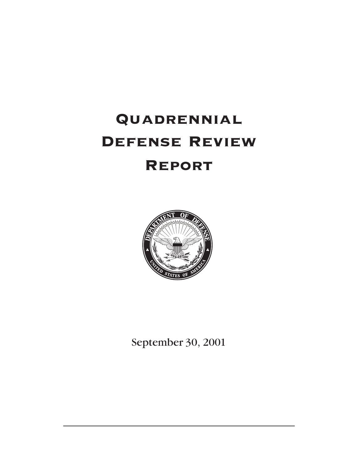# Quadrennial Defense Review **REPORT**



September 30, 2001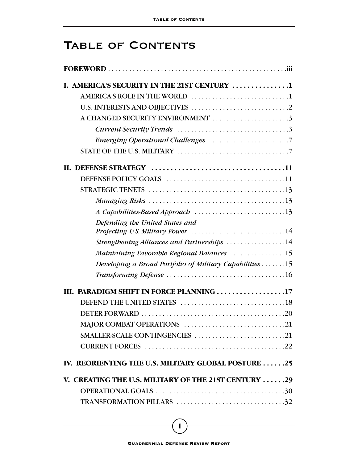# TABLE OF CONTENTS

| I. AMERICA'S SECURITY IN THE 21ST CENTURY 1                          |
|----------------------------------------------------------------------|
|                                                                      |
|                                                                      |
| A CHANGED SECURITY ENVIRONMENT 3                                     |
|                                                                      |
|                                                                      |
|                                                                      |
|                                                                      |
|                                                                      |
|                                                                      |
|                                                                      |
| A Capabilities-Based Approach 13                                     |
| Defending the United States and<br>Projecting U.S. Military Power 14 |
| Strengthening Alliances and Partnerships 14                          |
| Maintaining Favorable Regional Balances 15                           |
| Developing a Broad Portfolio of Military Capabilities 15             |
|                                                                      |
| III. PARADIGM SHIFT IN FORCE PLANNING 17                             |
|                                                                      |
|                                                                      |
|                                                                      |
| SMALLER-SCALE CONTINGENCIES 21                                       |
|                                                                      |
| IV. REORIENTING THE U.S. MILITARY GLOBAL POSTURE 25                  |
| V. CREATING THE U.S. MILITARY OF THE 21ST CENTURY 29                 |
|                                                                      |
| TRANSFORMATION PILLARS 32                                            |

**i**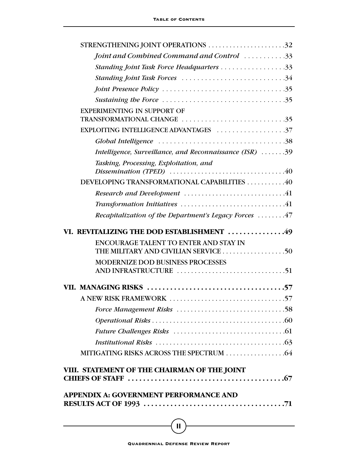| STRENGTHENING JOINT OPERATIONS 32                                |  |
|------------------------------------------------------------------|--|
| Joint and Combined Command and Control 33                        |  |
| Standing Joint Task Force Headquarters 33                        |  |
| Standing Joint Task Forces 34                                    |  |
|                                                                  |  |
|                                                                  |  |
| <b>EXPERIMENTING IN SUPPORT OF</b><br>TRANSFORMATIONAL CHANGE 35 |  |
|                                                                  |  |
|                                                                  |  |
| Intelligence, Surveillance, and Reconnaissance (ISR) 39          |  |
| Tasking, Processing, Exploitation, and                           |  |
| DEVELOPING TRANSFORMATIONAL CAPABILITIES 40                      |  |
|                                                                  |  |
|                                                                  |  |
| Recapitalization of the Department's Legacy Forces 47            |  |
| VI. REVITALIZING THE DOD ESTABLISHMENT 49                        |  |
| <b>ENCOURAGE TALENT TO ENTER AND STAY IN</b>                     |  |
| <b>MODERNIZE DOD BUSINESS PROCESSES</b>                          |  |
|                                                                  |  |
|                                                                  |  |
|                                                                  |  |
|                                                                  |  |
|                                                                  |  |
|                                                                  |  |
|                                                                  |  |
| VIII. STATEMENT OF THE CHAIRMAN OF THE JOINT                     |  |
| <b>APPENDIX A: GOVERNMENT PERFORMANCE AND</b>                    |  |
|                                                                  |  |

**ii**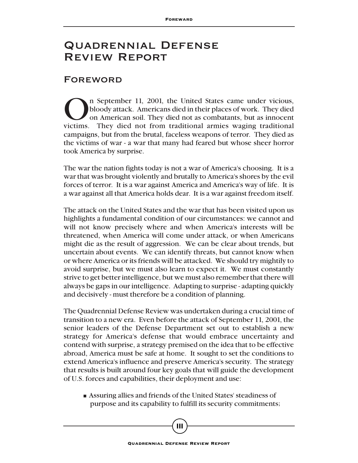## Quadrennial Defense Review Report

#### Foreword

The September 11, 2001, the United States came under vicious,<br>bloody attack. Americans died in their places of work. They died<br>on American soil. They died not as combatants, but as innocent<br>victims. They died not from trad bloody attack. Americans died in their places of work. They died on American soil. They died not as combatants, but as innocent victims. They died not from traditional armies waging traditional campaigns, but from the brutal, faceless weapons of terror. They died as the victims of war - a war that many had feared but whose sheer horror took America by surprise.

The war the nation fights today is not a war of America's choosing. It is a war that was brought violently and brutally to America's shores by the evil forces of terror. It is a war against America and America's way of life. It is a war against all that America holds dear. It is a war against freedom itself.

The attack on the United States and the war that has been visited upon us highlights a fundamental condition of our circumstances: we cannot and will not know precisely where and when America's interests will be threatened, when America will come under attack, or when Americans might die as the result of aggression. We can be clear about trends, but uncertain about events. We can identify threats, but cannot know when or where America or its friends will be attacked. We should try mightily to avoid surprise, but we must also learn to expect it. We must constantly strive to get better intelligence, but we must also remember that there will always be gaps in our intelligence. Adapting to surprise - adapting quickly and decisively - must therefore be a condition of planning.

The Quadrennial Defense Review was undertaken during a crucial time of transition to a new era. Even before the attack of September 11, 2001, the senior leaders of the Defense Department set out to establish a new strategy for America's defense that would embrace uncertainty and contend with surprise, a strategy premised on the idea that to be effective abroad, America must be safe at home. It sought to set the conditions to extend America's influence and preserve America's security. The strategy that results is built around four key goals that will guide the development of U.S. forces and capabilities, their deployment and use:

■ Assuring allies and friends of the United States' steadiness of purpose and its capability to fulfill its security commitments;

**iii**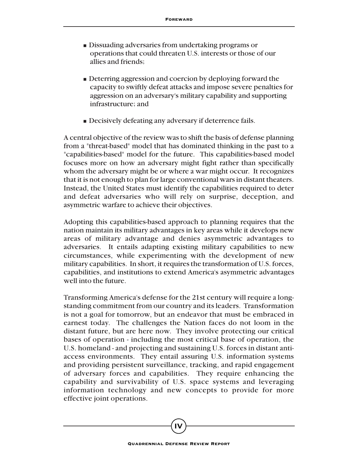- Dissuading adversaries from undertaking programs or operations that could threaten U.S. interests or those of our allies and friends;
- Deterring aggression and coercion by deploying forward the capacity to swiftly defeat attacks and impose severe penalties for aggression on an adversary's military capability and supporting infrastructure; and
- Decisively defeating any adversary if deterrence fails.

A central objective of the review was to shift the basis of defense planning from a "threat-based" model that has dominated thinking in the past to a "capabilities-based" model for the future. This capabilities-based model focuses more on how an adversary might fight rather than specifically whom the adversary might be or where a war might occur. It recognizes that it is not enough to plan for large conventional wars in distant theaters. Instead, the United States must identify the capabilities required to deter and defeat adversaries who will rely on surprise, deception, and asymmetric warfare to achieve their objectives.

Adopting this capabilities-based approach to planning requires that the nation maintain its military advantages in key areas while it develops new areas of military advantage and denies asymmetric advantages to adversaries. It entails adapting existing military capabilities to new circumstances, while experimenting with the development of new military capabilities. In short, it requires the transformation of U.S. forces, capabilities, and institutions to extend America's asymmetric advantages well into the future.

Transforming America's defense for the 21st century will require a longstanding commitment from our country and its leaders. Transformation is not a goal for tomorrow, but an endeavor that must be embraced in earnest today. The challenges the Nation faces do not loom in the distant future, but are here now. They involve protecting our critical bases of operation - including the most critical base of operation, the U.S. homeland - and projecting and sustaining U.S. forces in distant antiaccess environments. They entail assuring U.S. information systems and providing persistent surveillance, tracking, and rapid engagement of adversary forces and capabilities. They require enhancing the capability and survivability of U.S. space systems and leveraging information technology and new concepts to provide for more effective joint operations.

**iv**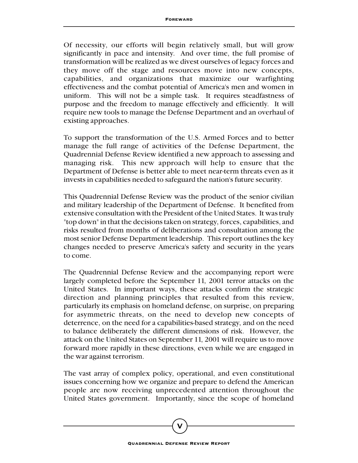Of necessity, our efforts will begin relatively small, but will grow significantly in pace and intensity. And over time, the full promise of transformation will be realized as we divest ourselves of legacy forces and they move off the stage and resources move into new concepts, capabilities, and organizations that maximize our warfighting effectiveness and the combat potential of America's men and women in uniform. This will not be a simple task. It requires steadfastness of purpose and the freedom to manage effectively and efficiently. It will require new tools to manage the Defense Department and an overhaul of existing approaches.

To support the transformation of the U.S. Armed Forces and to better manage the full range of activities of the Defense Department, the Quadrennial Defense Review identified a new approach to assessing and managing risk. This new approach will help to ensure that the Department of Defense is better able to meet near-term threats even as it invests in capabilities needed to safeguard the nation's future security.

This Quadrennial Defense Review was the product of the senior civilian and military leadership of the Department of Defense. It benefited from extensive consultation with the President of the United States. It was truly "top down" in that the decisions taken on strategy, forces, capabilities, and risks resulted from months of deliberations and consultation among the most senior Defense Department leadership. This report outlines the key changes needed to preserve America's safety and security in the years to come.

The Quadrennial Defense Review and the accompanying report were largely completed before the September 11, 2001 terror attacks on the United States. In important ways, these attacks confirm the strategic direction and planning principles that resulted from this review, particularly its emphasis on homeland defense, on surprise, on preparing for asymmetric threats, on the need to develop new concepts of deterrence, on the need for a capabilities-based strategy, and on the need to balance deliberately the different dimensions of risk. However, the attack on the United States on September 11, 2001 will require us to move forward more rapidly in these directions, even while we are engaged in the war against terrorism.

The vast array of complex policy, operational, and even constitutional issues concerning how we organize and prepare to defend the American people are now receiving unprecedented attention throughout the United States government. Importantly, since the scope of homeland

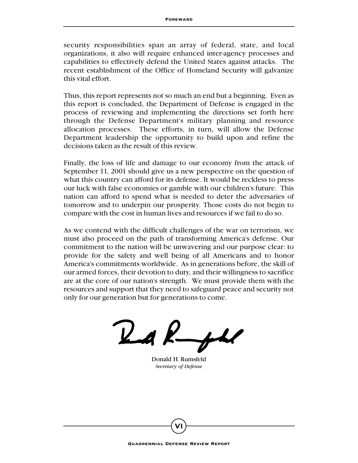security responsibilities span an array of federal, state, and local organizations, it also will require enhanced inter-agency processes and capabilities to effectively defend the United States against attacks. The recent establishment of the Office of Homeland Security will galvanize this vital effort.

Thus, this report represents not so much an end but a beginning. Even as this report is concluded, the Department of Defense is engaged in the process of reviewing and implementing the directions set forth here through the Defense Department's military planning and resource allocation processes. These efforts, in turn, will allow the Defense Department leadership the opportunity to build upon and refine the decisions taken as the result of this review.

Finally, the loss of life and damage to our economy from the attack of September 11, 2001 should give us a new perspective on the question of what this country can afford for its defense. It would be reckless to press our luck with false economies or gamble with our children's future. This nation can afford to spend what is needed to deter the adversaries of tomorrow and to underpin our prosperity. Those costs do not begin to compare with the cost in human lives and resources if we fail to do so.

As we contend with the difficult challenges of the war on terrorism, we must also proceed on the path of transforming America's defense. Our commitment to the nation will be unwavering and our purpose clear: to provide for the safety and well being of all Americans and to honor America's commitments worldwide. As in generations before, the skill of our armed forces, their devotion to duty, and their willingness to sacrifice are at the core of our nation's strength. We must provide them with the resources and support that they need to safeguard peace and security not only for our generation but for generations to come.

 $24k$ 

Donald H. Rumsfeld *Secretary of Defense*

**vi**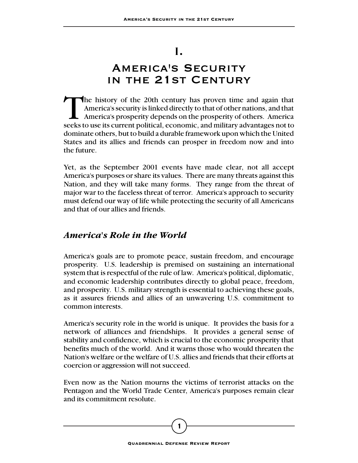## I.

# America's Security in the 21st Century

The history of the 20th century has proven time and again that America's security is linked directly to that of other nations, and that America's prosperity depends on the prosperity of others. America seeks to use its current political, economic, and military advantages not to dominate others, but to build a durable framework upon which the United States and its allies and friends can prosper in freedom now and into the future.

Yet, as the September 2001 events have made clear, not all accept America's purposes or share its values. There are many threats against this Nation, and they will take many forms. They range from the threat of major war to the faceless threat of terror. America's approach to security must defend our way of life while protecting the security of all Americans and that of our allies and friends.

#### *America's Role in the World*

America's goals are to promote peace, sustain freedom, and encourage prosperity. U.S. leadership is premised on sustaining an international system that is respectful of the rule of law. America's political, diplomatic, and economic leadership contributes directly to global peace, freedom, and prosperity. U.S. military strength is essential to achieving these goals, as it assures friends and allies of an unwavering U.S. commitment to common interests.

America's security role in the world is unique. It provides the basis for a network of alliances and friendships. It provides a general sense of stability and confidence, which is crucial to the economic prosperity that benefits much of the world. And it warns those who would threaten the Nation's welfare or the welfare of U.S. allies and friends that their efforts at coercion or aggression will not succeed.

Even now as the Nation mourns the victims of terrorist attacks on the Pentagon and the World Trade Center, America's purposes remain clear and its commitment resolute.

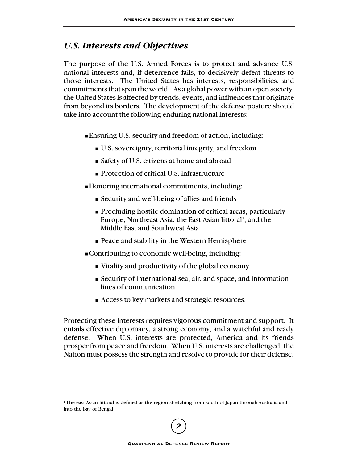#### *U.S. Interests and Objectives*

The purpose of the U.S. Armed Forces is to protect and advance U.S. national interests and, if deterrence fails, to decisively defeat threats to those interests. The United States has interests, responsibilities, and commitments that span the world. As a global power with an open society, the United States is affected by trends, events, and influences that originate from beyond its borders. The development of the defense posture should take into account the following enduring national interests:

- Ensuring U.S. security and freedom of action, including:
	- U.S. sovereignty, territorial integrity, and freedom
	- Safety of U.S. citizens at home and abroad
	- Protection of critical U.S. infrastructure
- Honoring international commitments, including:
	- Security and well-being of allies and friends
	- Precluding hostile domination of critical areas, particularly Europe, Northeast Asia, the East Asian littoral<sup>1</sup>, and the Middle East and Southwest Asia
	- Peace and stability in the Western Hemisphere
- Contributing to economic well-being, including:
	- Vitality and productivity of the global economy
	- Security of international sea, air, and space, and information lines of communication
	- Access to key markets and strategic resources.

Protecting these interests requires vigorous commitment and support. It entails effective diplomacy, a strong economy, and a watchful and ready defense. When U.S. interests are protected, America and its friends prosper from peace and freedom. When U.S. interests are challenged, the Nation must possess the strength and resolve to provide for their defense.

<sup>&</sup>lt;sup>1</sup>The east Asian littoral is defined as the region stretching from south of Japan through Australia and into the Bay of Bengal.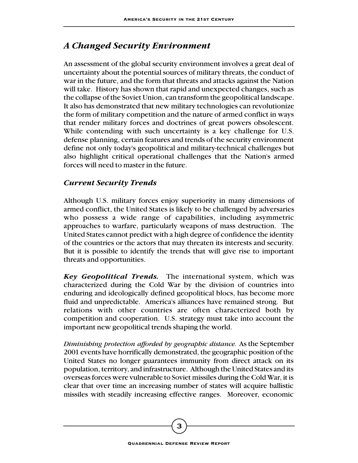#### *A Changed Security Environment*

An assessment of the global security environment involves a great deal of uncertainty about the potential sources of military threats, the conduct of war in the future, and the form that threats and attacks against the Nation will take. History has shown that rapid and unexpected changes, such as the collapse of the Soviet Union, can transform the geopolitical landscape. It also has demonstrated that new military technologies can revolutionize the form of military competition and the nature of armed conflict in ways that render military forces and doctrines of great powers obsolescent. While contending with such uncertainty is a key challenge for U.S. defense planning, certain features and trends of the security environment define not only today's geopolitical and military-technical challenges but also highlight critical operational challenges that the Nation's armed forces will need to master in the future.

#### *Current Security Trends*

Although U.S. military forces enjoy superiority in many dimensions of armed conflict, the United States is likely to be challenged by adversaries who possess a wide range of capabilities, including asymmetric approaches to warfare, particularly weapons of mass destruction. The United States cannot predict with a high degree of confidence the identity of the countries or the actors that may threaten its interests and security. But it is possible to identify the trends that will give rise to important threats and opportunities.

*Key Geopolitical Trends.* The international system, which was characterized during the Cold War by the division of countries into enduring and ideologically defined geopolitical blocs, has become more fluid and unpredictable. America's alliances have remained strong. But relations with other countries are often characterized both by competition and cooperation. U.S. strategy must take into account the important new geopolitical trends shaping the world.

*Diminishing protection afforded by geographic distance.* As the September 2001 events have horrifically demonstrated, the geographic position of the United States no longer guarantees immunity from direct attack on its population, territory, and infrastructure. Although the United States and its overseas forces were vulnerable to Soviet missiles during the Cold War, it is clear that over time an increasing number of states will acquire ballistic missiles with steadily increasing effective ranges. Moreover, economic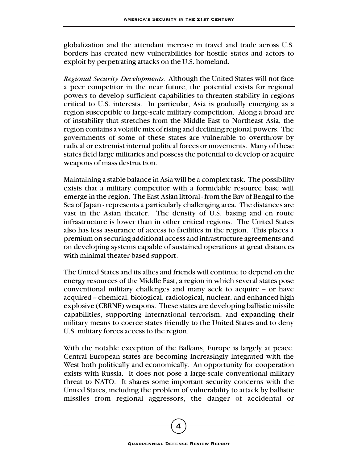globalization and the attendant increase in travel and trade across U.S. borders has created new vulnerabilities for hostile states and actors to exploit by perpetrating attacks on the U.S. homeland.

*Regional Security Developments.* Although the United States will not face a peer competitor in the near future, the potential exists for regional powers to develop sufficient capabilities to threaten stability in regions critical to U.S. interests. In particular, Asia is gradually emerging as a region susceptible to large-scale military competition. Along a broad arc of instability that stretches from the Middle East to Northeast Asia, the region contains a volatile mix of rising and declining regional powers. The governments of some of these states are vulnerable to overthrow by radical or extremist internal political forces or movements. Many of these states field large militaries and possess the potential to develop or acquire weapons of mass destruction.

Maintaining a stable balance in Asia will be a complex task. The possibility exists that a military competitor with a formidable resource base will emerge in the region. The East Asian littoral - from the Bay of Bengal to the Sea of Japan - represents a particularly challenging area. The distances are vast in the Asian theater. The density of U.S. basing and en route infrastructure is lower than in other critical regions. The United States also has less assurance of access to facilities in the region. This places a premium on securing additional access and infrastructure agreements and on developing systems capable of sustained operations at great distances with minimal theater-based support.

The United States and its allies and friends will continue to depend on the energy resources of the Middle East, a region in which several states pose conventional military challenges and many seek to acquire -- or have acquired -- chemical, biological, radiological, nuclear, and enhanced high explosive (CBRNE) weapons. These states are developing ballistic missile capabilities, supporting international terrorism, and expanding their military means to coerce states friendly to the United States and to deny U.S. military forces access to the region.

With the notable exception of the Balkans, Europe is largely at peace. Central European states are becoming increasingly integrated with the West both politically and economically. An opportunity for cooperation exists with Russia. It does not pose a large-scale conventional military threat to NATO. It shares some important security concerns with the United States, including the problem of vulnerability to attack by ballistic missiles from regional aggressors, the danger of accidental or

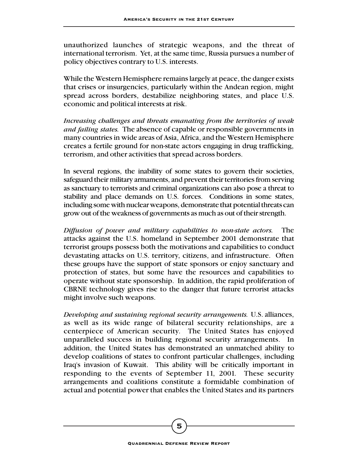unauthorized launches of strategic weapons, and the threat of international terrorism. Yet, at the same time, Russia pursues a number of policy objectives contrary to U.S. interests.

While the Western Hemisphere remains largely at peace, the danger exists that crises or insurgencies, particularly within the Andean region, might spread across borders, destabilize neighboring states, and place U.S. economic and political interests at risk.

*Increasing challenges and threats emanating from the territories of weak and failing states.* The absence of capable or responsible governments in many countries in wide areas of Asia, Africa, and the Western Hemisphere creates a fertile ground for non-state actors engaging in drug trafficking, terrorism, and other activities that spread across borders.

In several regions, the inability of some states to govern their societies, safeguard their military armaments, and prevent their territories from serving as sanctuary to terrorists and criminal organizations can also pose a threat to stability and place demands on U.S. forces. Conditions in some states, including some with nuclear weapons, demonstrate that potential threats can grow out of the weakness of governments as much as out of their strength.

*Diffusion of power and military capabilities to non-state actors.* The attacks against the U.S. homeland in September 2001 demonstrate that terrorist groups possess both the motivations and capabilities to conduct devastating attacks on U.S. territory, citizens, and infrastructure. Often these groups have the support of state sponsors or enjoy sanctuary and protection of states, but some have the resources and capabilities to operate without state sponsorship. In addition, the rapid proliferation of CBRNE technology gives rise to the danger that future terrorist attacks might involve such weapons.

*Developing and sustaining regional security arrangements.* U.S. alliances, as well as its wide range of bilateral security relationships, are a centerpiece of American security. The United States has enjoyed unparalleled success in building regional security arrangements. In addition, the United States has demonstrated an unmatched ability to develop coalitions of states to confront particular challenges, including Iraq's invasion of Kuwait. This ability will be critically important in responding to the events of September 11, 2001. These security arrangements and coalitions constitute a formidable combination of actual and potential power that enables the United States and its partners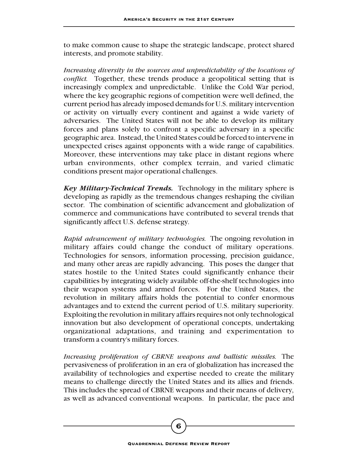to make common cause to shape the strategic landscape, protect shared interests, and promote stability.

*Increasing diversity in the sources and unpredictability of the locations of conflict.* Together, these trends produce a geopolitical setting that is increasingly complex and unpredictable. Unlike the Cold War period, where the key geographic regions of competition were well defined, the current period has already imposed demands for U.S. military intervention or activity on virtually every continent and against a wide variety of adversaries. The United States will not be able to develop its military forces and plans solely to confront a specific adversary in a specific geographic area. Instead, the United States could be forced to intervene in unexpected crises against opponents with a wide range of capabilities. Moreover, these interventions may take place in distant regions where urban environments, other complex terrain, and varied climatic conditions present major operational challenges.

*Key Military-Technical Trends.* Technology in the military sphere is developing as rapidly as the tremendous changes reshaping the civilian sector. The combination of scientific advancement and globalization of commerce and communications have contributed to several trends that significantly affect U.S. defense strategy.

*Rapid advancement of military technologies.* The ongoing revolution in military affairs could change the conduct of military operations. Technologies for sensors, information processing, precision guidance, and many other areas are rapidly advancing. This poses the danger that states hostile to the United States could significantly enhance their capabilities by integrating widely available off-the-shelf technologies into their weapon systems and armed forces. For the United States, the revolution in military affairs holds the potential to confer enormous advantages and to extend the current period of U.S. military superiority. Exploiting the revolution in military affairs requires not only technological innovation but also development of operational concepts, undertaking organizational adaptations, and training and experimentation to transform a country's military forces.

*Increasing proliferation of CBRNE weapons and ballistic missiles.* The pervasiveness of proliferation in an era of globalization has increased the availability of technologies and expertise needed to create the military means to challenge directly the United States and its allies and friends. This includes the spread of CBRNE weapons and their means of delivery, as well as advanced conventional weapons. In particular, the pace and

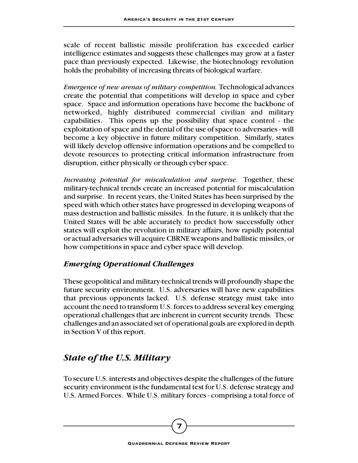scale of recent ballistic missile proliferation has exceeded earlier intelligence estimates and suggests these challenges may grow at a faster pace than previously expected. Likewise, the biotechnology revolution holds the probability of increasing threats of biological warfare.

*Emergence of new arenas of military competition.* Technological advances create the potential that competitions will develop in space and cyber space. Space and information operations have become the backbone of networked, highly distributed commercial civilian and military capabilities. This opens up the possibility that space control - the exploitation of space and the denial of the use of space to adversaries - will become a key objective in future military competition. Similarly, states will likely develop offensive information operations and be compelled to devote resources to protecting critical information infrastructure from disruption, either physically or through cyber space.

*Increasing potential for miscalculation and surprise.* Together, these military-technical trends create an increased potential for miscalculation and surprise. In recent years, the United States has been surprised by the speed with which other states have progressed in developing weapons of mass destruction and ballistic missiles. In the future, it is unlikely that the United States will be able accurately to predict how successfully other states will exploit the revolution in military affairs, how rapidly potential or actual adversaries will acquire CBRNE weapons and ballistic missiles, or how competitions in space and cyber space will develop.

#### *Emerging Operational Challenges*

These geopolitical and military-technical trends will profoundly shape the future security environment. U.S. adversaries will have new capabilities that previous opponents lacked. U.S. defense strategy must take into account the need to transform U.S. forces to address several key emerging operational challenges that are inherent in current security trends. These challenges and an associated set of operational goals are explored in depth in Section V of this report.

## *State of the U.S. Military*

To secure U.S. interests and objectives despite the challenges of the future security environment is the fundamental test for U.S. defense strategy and U.S. Armed Forces. While U.S. military forces - comprising a total force of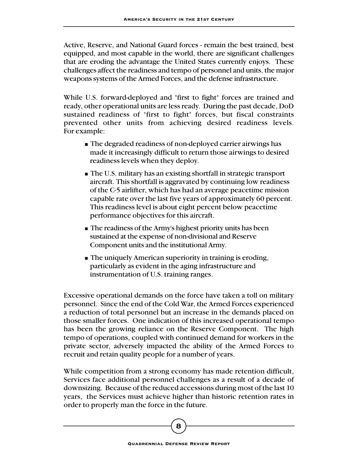Active, Reserve, and National Guard forces - remain the best trained, best equipped, and most capable in the world, there are significant challenges that are eroding the advantage the United States currently enjoys. These challenges affect the readiness and tempo of personnel and units, the major weapons systems of the Armed Forces, and the defense infrastructure.

While U.S. forward-deployed and "first to fight" forces are trained and ready, other operational units are less ready. During the past decade, DoD sustained readiness of "first to fight" forces, but fiscal constraints prevented other units from achieving desired readiness levels. For example:

- The degraded readiness of non-deployed carrier airwings has made it increasingly difficult to return those airwings to desired readiness levels when they deploy.
- The U.S. military has an existing shortfall in strategic transport aircraft. This shortfall is aggravated by continuing low readiness of the C-5 airlifter, which has had an average peacetime mission capable rate over the last five years of approximately 60 percent. This readiness level is about eight percent below peacetime performance objectives for this aircraft.
- The readiness of the Army's highest priority units has been sustained at the expense of non-divisional and Reserve Component units and the institutional Army.
- The uniquely American superiority in training is eroding, particularly as evident in the aging infrastructure and instrumentation of U.S. training ranges.

Excessive operational demands on the force have taken a toll on military personnel. Since the end of the Cold War, the Armed Forces experienced a reduction of total personnel but an increase in the demands placed on those smaller forces. One indication of this increased operational tempo has been the growing reliance on the Reserve Component. The high tempo of operations, coupled with continued demand for workers in the private sector, adversely impacted the ability of the Armed Forces to recruit and retain quality people for a number of years.

While competition from a strong economy has made retention difficult, Services face additional personnel challenges as a result of a decade of downsizing. Because of the reduced accessions during most of the last 10 years, the Services must achieve higher than historic retention rates in order to properly man the force in the future.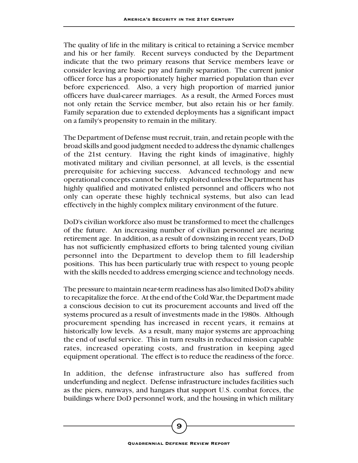The quality of life in the military is critical to retaining a Service member and his or her family. Recent surveys conducted by the Department indicate that the two primary reasons that Service members leave or consider leaving are basic pay and family separation. The current junior officer force has a proportionately higher married population than ever before experienced. Also, a very high proportion of married junior officers have dual-career marriages. As a result, the Armed Forces must not only retain the Service member, but also retain his or her family. Family separation due to extended deployments has a significant impact on a family's propensity to remain in the military.

The Department of Defense must recruit, train, and retain people with the broad skills and good judgment needed to address the dynamic challenges of the 21st century. Having the right kinds of imaginative, highly motivated military and civilian personnel, at all levels, is the essential prerequisite for achieving success. Advanced technology and new operational concepts cannot be fully exploited unless the Department has highly qualified and motivated enlisted personnel and officers who not only can operate these highly technical systems, but also can lead effectively in the highly complex military environment of the future.

DoD's civilian workforce also must be transformed to meet the challenges of the future. An increasing number of civilian personnel are nearing retirement age. In addition, as a result of downsizing in recent years, DoD has not sufficiently emphasized efforts to bring talented young civilian personnel into the Department to develop them to fill leadership positions. This has been particularly true with respect to young people with the skills needed to address emerging science and technology needs.

The pressure to maintain near-term readiness has also limited DoD's ability to recapitalize the force. At the end of the Cold War, the Department made a conscious decision to cut its procurement accounts and lived off the systems procured as a result of investments made in the 1980s. Although procurement spending has increased in recent years, it remains at historically low levels. As a result, many major systems are approaching the end of useful service. This in turn results in reduced mission capable rates, increased operating costs, and frustration in keeping aged equipment operational. The effect is to reduce the readiness of the force.

In addition, the defense infrastructure also has suffered from underfunding and neglect. Defense infrastructure includes facilities such as the piers, runways, and hangars that support U.S. combat forces, the buildings where DoD personnel work, and the housing in which military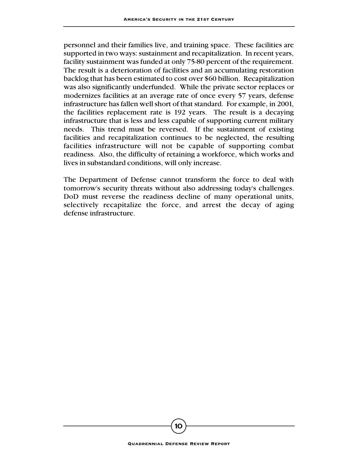personnel and their families live, and training space. These facilities are supported in two ways: sustainment and recapitalization. In recent years, facility sustainment was funded at only 75-80 percent of the requirement. The result is a deterioration of facilities and an accumulating restoration backlog that has been estimated to cost over \$60 billion. Recapitalization was also significantly underfunded. While the private sector replaces or modernizes facilities at an average rate of once every 57 years, defense infrastructure has fallen well short of that standard. For example, in 2001, the facilities replacement rate is 192 years. The result is a decaying infrastructure that is less and less capable of supporting current military needs. This trend must be reversed. If the sustainment of existing facilities and recapitalization continues to be neglected, the resulting facilities infrastructure will not be capable of supporting combat readiness. Also, the difficulty of retaining a workforce, which works and lives in substandard conditions, will only increase.

The Department of Defense cannot transform the force to deal with tomorrow's security threats without also addressing today's challenges. DoD must reverse the readiness decline of many operational units, selectively recapitalize the force, and arrest the decay of aging defense infrastructure.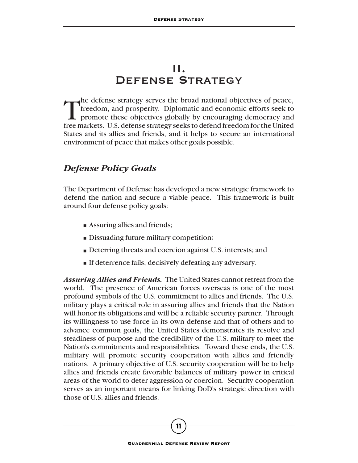## II. Defense Strategy

The defense strategy serves the broad national objectives of peace,<br>freedom, and prosperity. Diplomatic and economic efforts seek to<br>promote these objectives globally by encouraging democracy and<br>free markets. It's defense freedom, and prosperity. Diplomatic and economic efforts seek to promote these objectives globally by encouraging democracy and free markets. U.S. defense strategy seeks to defend freedom for the United States and its allies and friends, and it helps to secure an international environment of peace that makes other goals possible.

#### *Defense Policy Goals*

The Department of Defense has developed a new strategic framework to defend the nation and secure a viable peace. This framework is built around four defense policy goals:

- Assuring allies and friends;
- Dissuading future military competition;
- Deterring threats and coercion against U.S. interests; and
- If deterrence fails, decisively defeating any adversary.

*Assuring Allies and Friends.* The United States cannot retreat from the world. The presence of American forces overseas is one of the most profound symbols of the U.S. commitment to allies and friends. The U.S. military plays a critical role in assuring allies and friends that the Nation will honor its obligations and will be a reliable security partner. Through its willingness to use force in its own defense and that of others and to advance common goals, the United States demonstrates its resolve and steadiness of purpose and the credibility of the U.S. military to meet the Nation's commitments and responsibilities. Toward these ends, the U.S. military will promote security cooperation with allies and friendly nations. A primary objective of U.S. security cooperation will be to help allies and friends create favorable balances of military power in critical areas of the world to deter aggression or coercion. Security cooperation serves as an important means for linking DoD's strategic direction with those of U.S. allies and friends.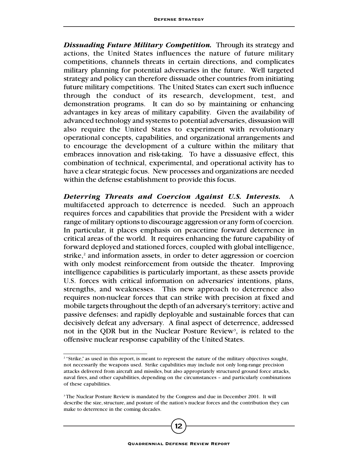*Dissuading Future Military Competition.* Through its strategy and actions, the United States influences the nature of future military competitions, channels threats in certain directions, and complicates military planning for potential adversaries in the future. Well targeted strategy and policy can therefore dissuade other countries from initiating future military competitions. The United States can exert such influence through the conduct of its research, development, test, and demonstration programs. It can do so by maintaining or enhancing advantages in key areas of military capability. Given the availability of advanced technology and systems to potential adversaries, dissuasion will also require the United States to experiment with revolutionary operational concepts, capabilities, and organizational arrangements and to encourage the development of a culture within the military that embraces innovation and risk-taking. To have a dissuasive effect, this combination of technical, experimental, and operational activity has to have a clear strategic focus. New processes and organizations are needed within the defense establishment to provide this focus.

*Deterring Threats and Coercion Against U.S. Interests.* A multifaceted approach to deterrence is needed. Such an approach requires forces and capabilities that provide the President with a wider range of military options to discourage aggression or any form of coercion. In particular, it places emphasis on peacetime forward deterrence in critical areas of the world. It requires enhancing the future capability of forward deployed and stationed forces, coupled with global intelligence, strike,<sup>2</sup> and information assets, in order to deter aggression or coercion with only modest reinforcement from outside the theater. Improving intelligence capabilities is particularly important, as these assets provide U.S. forces with critical information on adversaries' intentions, plans, strengths, and weaknesses. This new approach to deterrence also requires non-nuclear forces that can strike with precision at fixed and mobile targets throughout the depth of an adversary's territory; active and passive defenses; and rapidly deployable and sustainable forces that can decisively defeat any adversary. A final aspect of deterrence, addressed not in the QDR but in the Nuclear Posture Review<sup>3</sup>, is related to the offensive nuclear response capability of the United States.

<sup>&</sup>lt;sup>2</sup> "Strike," as used in this report, is meant to represent the nature of the military objectives sought, not necessarily the weapons used. Strike capabilities may include not only long-range precision attacks delivered from aircraft and missiles, but also appropriately structured ground force attacks, naval fires, and other capabilities, depending on the circumstances – and particularly combinations of these capabilities.

<sup>&</sup>lt;sup>3</sup> The Nuclear Posture Review is mandated by the Congress and due in December 2001. It will describe the size, structure, and posture of the nation's nuclear forces and the contribution they can make to deterrence in the coming decades.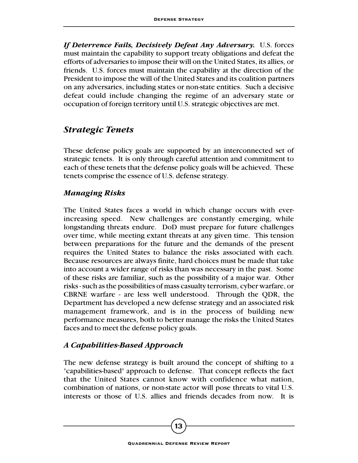*If Deterrence Fails, Decisively Defeat Any Adversary.* U.S. forces must maintain the capability to support treaty obligations and defeat the efforts of adversaries to impose their will on the United States, its allies, or friends. U.S. forces must maintain the capability at the direction of the President to impose the will of the United States and its coalition partners on any adversaries, including states or non-state entities. Such a decisive defeat could include changing the regime of an adversary state or occupation of foreign territory until U.S. strategic objectives are met.

#### *Strategic Tenets*

These defense policy goals are supported by an interconnected set of strategic tenets. It is only through careful attention and commitment to each of these tenets that the defense policy goals will be achieved. These tenets comprise the essence of U.S. defense strategy.

#### *Managing Risks*

The United States faces a world in which change occurs with everincreasing speed. New challenges are constantly emerging, while longstanding threats endure. DoD must prepare for future challenges over time, while meeting extant threats at any given time. This tension between preparations for the future and the demands of the present requires the United States to balance the risks associated with each. Because resources are always finite, hard choices must be made that take into account a wider range of risks than was necessary in the past. Some of these risks are familiar, such as the possibility of a major war. Other risks - such as the possibilities of mass casualty terrorism, cyber warfare, or CBRNE warfare - are less well understood. Through the QDR, the Department has developed a new defense strategy and an associated risk management framework, and is in the process of building new performance measures, both to better manage the risks the United States faces and to meet the defense policy goals.

#### *A Capabilities-Based Approach*

The new defense strategy is built around the concept of shifting to a "capabilities-based" approach to defense. That concept reflects the fact that the United States cannot know with confidence what nation, combination of nations, or non-state actor will pose threats to vital U.S. interests or those of U.S. allies and friends decades from now. It is

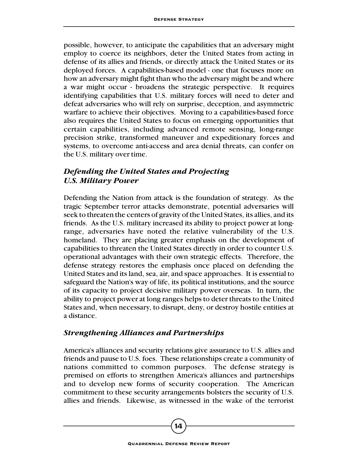possible, however, to anticipate the capabilities that an adversary might employ to coerce its neighbors, deter the United States from acting in defense of its allies and friends, or directly attack the United States or its deployed forces. A capabilities-based model - one that focuses more on how an adversary might fight than who the adversary might be and where a war might occur - broadens the strategic perspective. It requires identifying capabilities that U.S. military forces will need to deter and defeat adversaries who will rely on surprise, deception, and asymmetric warfare to achieve their objectives. Moving to a capabilities-based force also requires the United States to focus on emerging opportunities that certain capabilities, including advanced remote sensing, long-range precision strike, transformed maneuver and expeditionary forces and systems, to overcome anti-access and area denial threats, can confer on the U.S. military over time.

#### *Defending the United States and Projecting U.S. Military Power*

Defending the Nation from attack is the foundation of strategy. As the tragic September terror attacks demonstrate, potential adversaries will seek to threaten the centers of gravity of the United States, its allies, and its friends. As the U.S. military increased its ability to project power at longrange, adversaries have noted the relative vulnerability of the U.S. homeland. They are placing greater emphasis on the development of capabilities to threaten the United States directly in order to counter U.S. operational advantages with their own strategic effects. Therefore, the defense strategy restores the emphasis once placed on defending the United States and its land, sea, air, and space approaches. It is essential to safeguard the Nation's way of life, its political institutions, and the source of its capacity to project decisive military power overseas. In turn, the ability to project power at long ranges helps to deter threats to the United States and, when necessary, to disrupt, deny, or destroy hostile entities at a distance.

#### *Strengthening Alliances and Partnerships*

America's alliances and security relations give assurance to U.S. allies and friends and pause to U.S. foes. These relationships create a community of nations committed to common purposes. The defense strategy is premised on efforts to strengthen America's alliances and partnerships and to develop new forms of security cooperation. The American commitment to these security arrangements bolsters the security of U.S. allies and friends. Likewise, as witnessed in the wake of the terrorist

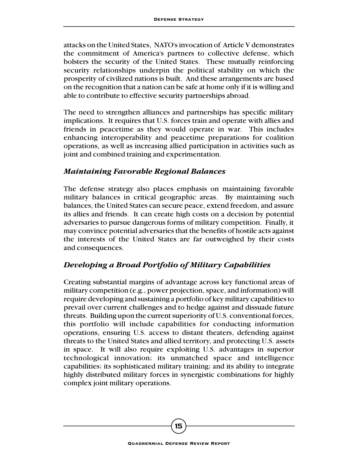attacks on the United States, NATO's invocation of Article V demonstrates the commitment of America's partners to collective defense, which bolsters the security of the United States. These mutually reinforcing security relationships underpin the political stability on which the prosperity of civilized nations is built. And these arrangements are based on the recognition that a nation can be safe at home only if it is willing and able to contribute to effective security partnerships abroad.

The need to strengthen alliances and partnerships has specific military implications. It requires that U.S. forces train and operate with allies and friends in peacetime as they would operate in war. This includes enhancing interoperability and peacetime preparations for coalition operations, as well as increasing allied participation in activities such as joint and combined training and experimentation.

#### *Maintaining Favorable Regional Balances*

The defense strategy also places emphasis on maintaining favorable military balances in critical geographic areas. By maintaining such balances, the United States can secure peace, extend freedom, and assure its allies and friends. It can create high costs on a decision by potential adversaries to pursue dangerous forms of military competition. Finally, it may convince potential adversaries that the benefits of hostile acts against the interests of the United States are far outweighed by their costs and consequences.

#### *Developing a Broad Portfolio of Military Capabilities*

Creating substantial margins of advantage across key functional areas of military competition (e.g., power projection, space, and information) will require developing and sustaining a portfolio of key military capabilities to prevail over current challenges and to hedge against and dissuade future threats. Building upon the current superiority of U.S. conventional forces, this portfolio will include capabilities for conducting information operations, ensuring U.S. access to distant theaters, defending against threats to the United States and allied territory, and protecting U.S. assets in space. It will also require exploiting U.S. advantages in superior technological innovation; its unmatched space and intelligence capabilities; its sophisticated military training; and its ability to integrate highly distributed military forces in synergistic combinations for highly complex joint military operations.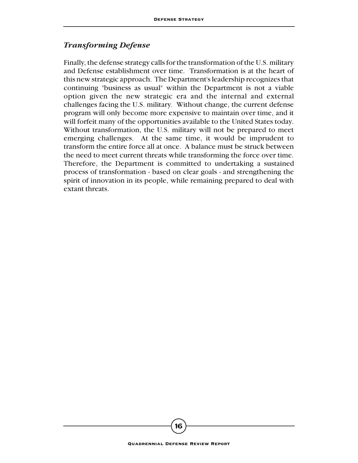#### *Transforming Defense*

Finally, the defense strategy calls for the transformation of the U.S. military and Defense establishment over time. Transformation is at the heart of this new strategic approach. The Department's leadership recognizes that continuing "business as usual" within the Department is not a viable option given the new strategic era and the internal and external challenges facing the U.S. military. Without change, the current defense program will only become more expensive to maintain over time, and it will forfeit many of the opportunities available to the United States today. Without transformation, the U.S. military will not be prepared to meet emerging challenges. At the same time, it would be imprudent to transform the entire force all at once. A balance must be struck between the need to meet current threats while transforming the force over time. Therefore, the Department is committed to undertaking a sustained process of transformation - based on clear goals - and strengthening the spirit of innovation in its people, while remaining prepared to deal with extant threats.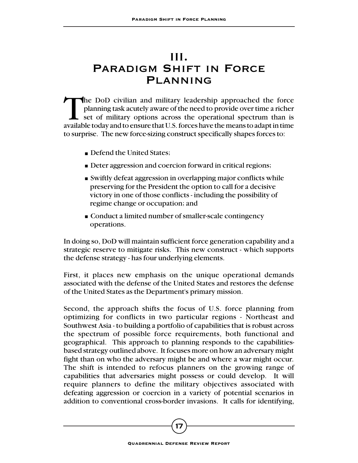# III. Paradigm Shift in Force **PLANNING**

The DoD civilian and military leadership approached the force<br>planning task acutely aware of the need to provide over time a richer<br>set of military options across the operational spectrum than is<br>available today and to ens planning task acutely aware of the need to provide over time a richer set of military options across the operational spectrum than is available today and to ensure that U.S. forces have the means to adapt in time to surprise. The new force-sizing construct specifically shapes forces to:

- Defend the United States:
- Deter aggression and coercion forward in critical regions;
- Swiftly defeat aggression in overlapping major conflicts while preserving for the President the option to call for a decisive victory in one of those conflicts - including the possibility of regime change or occupation; and
- Conduct a limited number of smaller-scale contingency operations.

In doing so, DoD will maintain sufficient force generation capability and a strategic reserve to mitigate risks. This new construct - which supports the defense strategy - has four underlying elements.

First, it places new emphasis on the unique operational demands associated with the defense of the United States and restores the defense of the United States as the Department's primary mission.

Second, the approach shifts the focus of U.S. force planning from optimizing for conflicts in two particular regions - Northeast and Southwest Asia - to building a portfolio of capabilities that is robust across the spectrum of possible force requirements, both functional and geographical. This approach to planning responds to the capabilitiesbased strategy outlined above. It focuses more on how an adversary might fight than on who the adversary might be and where a war might occur. The shift is intended to refocus planners on the growing range of capabilities that adversaries might possess or could develop. It will require planners to define the military objectives associated with defeating aggression or coercion in a variety of potential scenarios in addition to conventional cross-border invasions. It calls for identifying,

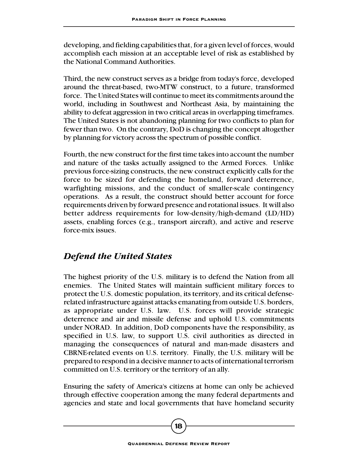developing, and fielding capabilities that, for a given level of forces, would accomplish each mission at an acceptable level of risk as established by the National Command Authorities.

Third, the new construct serves as a bridge from today's force, developed around the threat-based, two-MTW construct, to a future, transformed force. The United States will continue to meet its commitments around the world, including in Southwest and Northeast Asia, by maintaining the ability to defeat aggression in two critical areas in overlapping timeframes. The United States is not abandoning planning for two conflicts to plan for fewer than two. On the contrary, DoD is changing the concept altogether by planning for victory across the spectrum of possible conflict.

Fourth, the new construct for the first time takes into account the number and nature of the tasks actually assigned to the Armed Forces. Unlike previous force-sizing constructs, the new construct explicitly calls for the force to be sized for defending the homeland, forward deterrence, warfighting missions, and the conduct of smaller-scale contingency operations. As a result, the construct should better account for force requirements driven by forward presence and rotational issues. It will also better address requirements for low-density/high-demand (LD/HD) assets, enabling forces (e.g., transport aircraft), and active and reserve force-mix issues.

## *Defend the United States*

The highest priority of the U.S. military is to defend the Nation from all enemies. The United States will maintain sufficient military forces to protect the U.S. domestic population, its territory, and its critical defenserelated infrastructure against attacks emanating from outside U.S. borders, as appropriate under U.S. law. U.S. forces will provide strategic deterrence and air and missile defense and uphold U.S. commitments under NORAD. In addition, DoD components have the responsibility, as specified in U.S. law, to support U.S. civil authorities as directed in managing the consequences of natural and man-made disasters and CBRNE-related events on U.S. territory. Finally, the U.S. military will be prepared to respond in a decisive manner to acts of international terrorism committed on U.S. territory or the territory of an ally.

Ensuring the safety of America's citizens at home can only be achieved through effective cooperation among the many federal departments and agencies and state and local governments that have homeland security

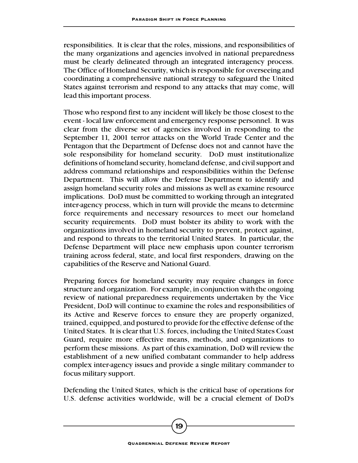responsibilities. It is clear that the roles, missions, and responsibilities of the many organizations and agencies involved in national preparedness must be clearly delineated through an integrated interagency process. The Office of Homeland Security, which is responsible for overseeing and coordinating a comprehensive national strategy to safeguard the United States against terrorism and respond to any attacks that may come, will lead this important process.

Those who respond first to any incident will likely be those closest to the event - local law enforcement and emergency response personnel. It was clear from the diverse set of agencies involved in responding to the September 11, 2001 terror attacks on the World Trade Center and the Pentagon that the Department of Defense does not and cannot have the sole responsibility for homeland security. DoD must institutionalize definitions of homeland security, homeland defense, and civil support and address command relationships and responsibilities within the Defense Department. This will allow the Defense Department to identify and assign homeland security roles and missions as well as examine resource implications. DoD must be committed to working through an integrated inter-agency process, which in turn will provide the means to determine force requirements and necessary resources to meet our homeland security requirements. DoD must bolster its ability to work with the organizations involved in homeland security to prevent, protect against, and respond to threats to the territorial United States. In particular, the Defense Department will place new emphasis upon counter terrorism training across federal, state, and local first responders, drawing on the capabilities of the Reserve and National Guard.

Preparing forces for homeland security may require changes in force structure and organization. For example, in conjunction with the ongoing review of national preparedness requirements undertaken by the Vice President, DoD will continue to examine the roles and responsibilities of its Active and Reserve forces to ensure they are properly organized, trained, equipped, and postured to provide for the effective defense of the United States. It is clear that U.S. forces, including the United States Coast Guard, require more effective means, methods, and organizations to perform these missions. As part of this examination, DoD will review the establishment of a new unified combatant commander to help address complex inter-agency issues and provide a single military commander to focus military support.

Defending the United States, which is the critical base of operations for U.S. defense activities worldwide, will be a crucial element of DoD's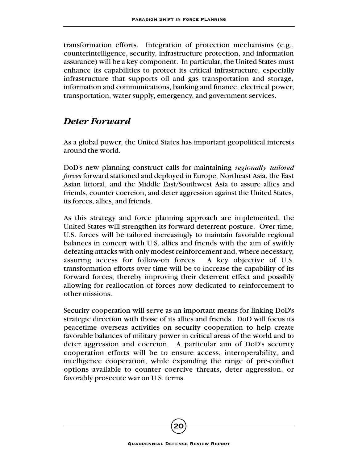transformation efforts. Integration of protection mechanisms (e.g., counterintelligence, security, infrastructure protection, and information assurance) will be a key component. In particular, the United States must enhance its capabilities to protect its critical infrastructure, especially infrastructure that supports oil and gas transportation and storage, information and communications, banking and finance, electrical power, transportation, water supply, emergency, and government services.

#### *Deter Forward*

As a global power, the United States has important geopolitical interests around the world.

DoD's new planning construct calls for maintaining *regionally tailored forces* forward stationed and deployed in Europe, Northeast Asia, the East Asian littoral, and the Middle East/Southwest Asia to assure allies and friends, counter coercion, and deter aggression against the United States, its forces, allies, and friends.

As this strategy and force planning approach are implemented, the United States will strengthen its forward deterrent posture. Over time, U.S. forces will be tailored increasingly to maintain favorable regional balances in concert with U.S. allies and friends with the aim of swiftly defeating attacks with only modest reinforcement and, where necessary, assuring access for follow-on forces. A key objective of U.S. transformation efforts over time will be to increase the capability of its forward forces, thereby improving their deterrent effect and possibly allowing for reallocation of forces now dedicated to reinforcement to other missions.

Security cooperation will serve as an important means for linking DoD's strategic direction with those of its allies and friends. DoD will focus its peacetime overseas activities on security cooperation to help create favorable balances of military power in critical areas of the world and to deter aggression and coercion. A particular aim of DoD's security cooperation efforts will be to ensure access, interoperability, and intelligence cooperation, while expanding the range of pre-conflict options available to counter coercive threats, deter aggression, or favorably prosecute war on U.S. terms.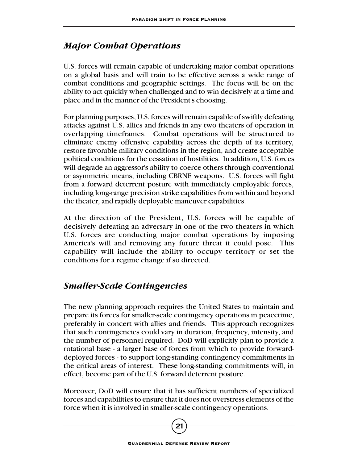### *Major Combat Operations*

U.S. forces will remain capable of undertaking major combat operations on a global basis and will train to be effective across a wide range of combat conditions and geographic settings. The focus will be on the ability to act quickly when challenged and to win decisively at a time and place and in the manner of the President's choosing.

For planning purposes, U.S. forces will remain capable of swiftly defeating attacks against U.S. allies and friends in any two theaters of operation in overlapping timeframes. Combat operations will be structured to eliminate enemy offensive capability across the depth of its territory, restore favorable military conditions in the region, and create acceptable political conditions for the cessation of hostilities. In addition, U.S. forces will degrade an aggressor's ability to coerce others through conventional or asymmetric means, including CBRNE weapons. U.S. forces will fight from a forward deterrent posture with immediately employable forces, including long-range precision strike capabilities from within and beyond the theater, and rapidly deployable maneuver capabilities.

At the direction of the President, U.S. forces will be capable of decisively defeating an adversary in one of the two theaters in which U.S. forces are conducting major combat operations by imposing America's will and removing any future threat it could pose. This capability will include the ability to occupy territory or set the conditions for a regime change if so directed.

## *Smaller-Scale Contingencies*

The new planning approach requires the United States to maintain and prepare its forces for smaller-scale contingency operations in peacetime, preferably in concert with allies and friends. This approach recognizes that such contingencies could vary in duration, frequency, intensity, and the number of personnel required. DoD will explicitly plan to provide a rotational base - a larger base of forces from which to provide forwarddeployed forces - to support long-standing contingency commitments in the critical areas of interest. These long-standing commitments will, in effect, become part of the U.S. forward deterrent posture.

Moreover, DoD will ensure that it has sufficient numbers of specialized forces and capabilities to ensure that it does not overstress elements of the force when it is involved in smaller-scale contingency operations.

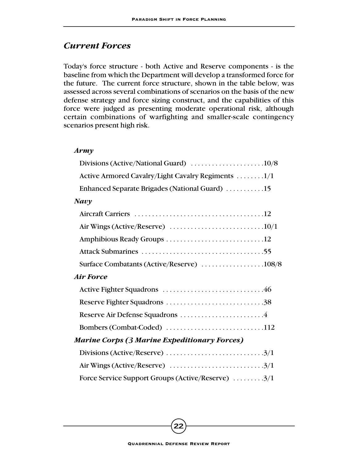#### *Current Forces*

Today's force structure - both Active and Reserve components - is the baseline from which the Department will develop a transformed force for the future. The current force structure, shown in the table below, was assessed across several combinations of scenarios on the basis of the new defense strategy and force sizing construct, and the capabilities of this force were judged as presenting moderate operational risk, although certain combinations of warfighting and smaller-scale contingency scenarios present high risk.

#### *Army*

| Divisions (Active/National Guard) $\ldots \ldots \ldots \ldots \ldots \ldots \ldots 10/8$   |  |
|---------------------------------------------------------------------------------------------|--|
| Active Armored Cavalry/Light Cavalry Regiments 1/1                                          |  |
| Enhanced Separate Brigades (National Guard) 15                                              |  |
| Navy                                                                                        |  |
|                                                                                             |  |
|                                                                                             |  |
|                                                                                             |  |
|                                                                                             |  |
|                                                                                             |  |
| Air Force                                                                                   |  |
|                                                                                             |  |
|                                                                                             |  |
|                                                                                             |  |
| Bombers (Combat-Coded) 112                                                                  |  |
| <b>Marine Corps (3 Marine Expeditionary Forces)</b>                                         |  |
|                                                                                             |  |
| Air Wings (Active/Reserve) $\ldots \ldots \ldots \ldots \ldots \ldots \ldots \ldots \ldots$ |  |
| Force Service Support Groups (Active/Reserve) 3/1                                           |  |
|                                                                                             |  |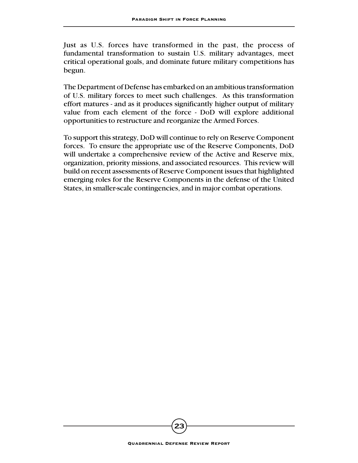Just as U.S. forces have transformed in the past, the process of fundamental transformation to sustain U.S. military advantages, meet critical operational goals, and dominate future military competitions has begun.

The Department of Defense has embarked on an ambitious transformation of U.S. military forces to meet such challenges. As this transformation effort matures - and as it produces significantly higher output of military value from each element of the force - DoD will explore additional opportunities to restructure and reorganize the Armed Forces.

To support this strategy, DoD will continue to rely on Reserve Component forces. To ensure the appropriate use of the Reserve Components, DoD will undertake a comprehensive review of the Active and Reserve mix, organization, priority missions, and associated resources. This review will build on recent assessments of Reserve Component issues that highlighted emerging roles for the Reserve Components in the defense of the United States, in smaller-scale contingencies, and in major combat operations.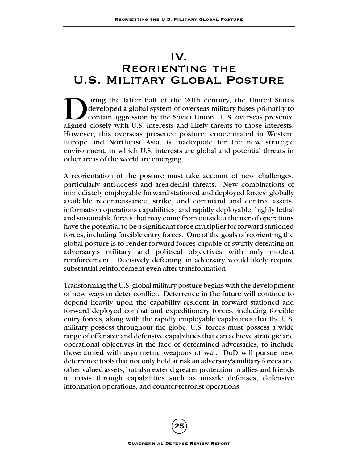## IV.

# Reorienting the U.S. Military Global Posture

Using the latter half of the 20th century, the United States<br>developed a global system of overseas military bases primarily to<br>contain aggression by the Soviet Union. U.S. overseas presence<br>aligned closely with U.S. intere developed a global system of overseas military bases primarily to contain aggression by the Soviet Union. U.S. overseas presence aligned closely with U.S. interests and likely threats to those interests. However, this overseas presence posture, concentrated in Western Europe and Northeast Asia, is inadequate for the new strategic environment, in which U.S. interests are global and potential threats in other areas of the world are emerging.

A reorientation of the posture must take account of new challenges, particularly anti-access and area-denial threats. New combinations of immediately employable forward stationed and deployed forces; globally available reconnaissance, strike, and command and control assets; information operations capabilities; and rapidly deployable, highly lethal and sustainable forces that may come from outside a theater of operations have the potential to be a significant force multiplier for forward stationed forces, including forcible entry forces. One of the goals of reorienting the global posture is to render forward forces capable of swiftly defeating an adversary's military and political objectives with only modest reinforcement. Decisively defeating an adversary would likely require substantial reinforcement even after transformation.

Transforming the U.S. global military posture begins with the development of new ways to deter conflict. Deterrence in the future will continue to depend heavily upon the capability resident in forward stationed and forward deployed combat and expeditionary forces, including forcible entry forces, along with the rapidly employable capabilities that the U.S. military possess throughout the globe. U.S. forces must possess a wide range of offensive and defensive capabilities that can achieve strategic and operational objectives in the face of determined adversaries, to include those armed with asymmetric weapons of war. DoD will pursue new deterrence tools that not only hold at risk an adversary's military forces and other valued assets, but also extend greater protection to allies and friends in crisis through capabilities such as missile defenses, defensive information operations, and counter-terrorist operations.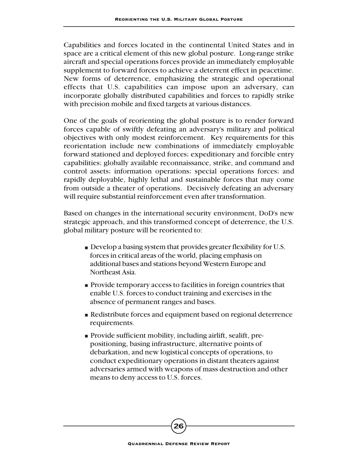Capabilities and forces located in the continental United States and in space are a critical element of this new global posture. Long-range strike aircraft and special operations forces provide an immediately employable supplement to forward forces to achieve a deterrent effect in peacetime. New forms of deterrence, emphasizing the strategic and operational effects that U.S. capabilities can impose upon an adversary, can incorporate globally distributed capabilities and forces to rapidly strike with precision mobile and fixed targets at various distances.

One of the goals of reorienting the global posture is to render forward forces capable of swiftly defeating an adversary's military and political objectives with only modest reinforcement. Key requirements for this reorientation include new combinations of immediately employable forward stationed and deployed forces; expeditionary and forcible entry capabilities; globally available reconnaissance, strike, and command and control assets; information operations; special operations forces; and rapidly deployable, highly lethal and sustainable forces that may come from outside a theater of operations. Decisively defeating an adversary will require substantial reinforcement even after transformation.

Based on changes in the international security environment, DoD's new strategic approach, and this transformed concept of deterrence, the U.S. global military posture will be reoriented to:

- Develop a basing system that provides greater flexibility for U.S. forces in critical areas of the world, placing emphasis on additional bases and stations beyond Western Europe and Northeast Asia.
- Provide temporary access to facilities in foreign countries that enable U.S. forces to conduct training and exercises in the absence of permanent ranges and bases.
- Redistribute forces and equipment based on regional deterrence requirements.
- Provide sufficient mobility, including airlift, sealift, prepositioning, basing infrastructure, alternative points of debarkation, and new logistical concepts of operations, to conduct expeditionary operations in distant theaters against adversaries armed with weapons of mass destruction and other means to deny access to U.S. forces.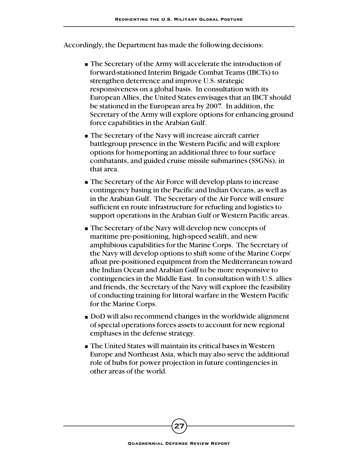Accordingly, the Department has made the following decisions:

- The Secretary of the Army will accelerate the introduction of forward-stationed Interim Brigade Combat Teams (IBCTs) to strengthen deterrence and improve U.S. strategic responsiveness on a global basis. In consultation with its European Allies, the United States envisages that an IBCT should be stationed in the European area by 2007. In addition, the Secretary of the Army will explore options for enhancing ground force capabilities in the Arabian Gulf.
- The Secretary of the Navy will increase aircraft carrier battlegroup presence in the Western Pacific and will explore options for homeporting an additional three to four surface combatants, and guided cruise missile submarines (SSGNs), in that area.
- The Secretary of the Air Force will develop plans to increase contingency basing in the Pacific and Indian Oceans, as well as in the Arabian Gulf. The Secretary of the Air Force will ensure sufficient en route infrastructure for refueling and logistics to support operations in the Arabian Gulf or Western Pacific areas.
- The Secretary of the Navy will develop new concepts of maritime pre-positioning, high-speed sealift, and new amphibious capabilities for the Marine Corps. The Secretary of the Navy will develop options to shift some of the Marine Corps' afloat pre-positioned equipment from the Mediterranean toward the Indian Ocean and Arabian Gulf to be more responsive to contingencies in the Middle East. In consultation with U.S. allies and friends, the Secretary of the Navy will explore the feasibility of conducting training for littoral warfare in the Western Pacific for the Marine Corps.
- DoD will also recommend changes in the worldwide alignment of special operations forces assets to account for new regional emphases in the defense strategy.
- The United States will maintain its critical bases in Western Europe and Northeast Asia, which may also serve the additional role of hubs for power projection in future contingencies in other areas of the world.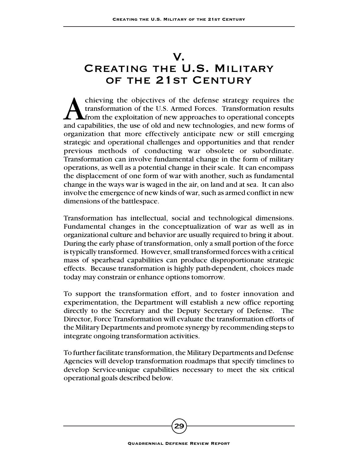# V.

# Creating the U.S. Military of the 21st Century

chieving the objectives of the defense strategy requires the transformation of the U.S. Armed Forces. Transformation results from the exploitation of new approaches to operational concepts and capabilities, the use of old transformation of the U.S. Armed Forces. Transformation results from the exploitation of new approaches to operational concepts and capabilities, the use of old and new technologies, and new forms of organization that more effectively anticipate new or still emerging strategic and operational challenges and opportunities and that render previous methods of conducting war obsolete or subordinate. Transformation can involve fundamental change in the form of military operations, as well as a potential change in their scale. It can encompass the displacement of one form of war with another, such as fundamental change in the ways war is waged in the air, on land and at sea. It can also involve the emergence of new kinds of war, such as armed conflict in new dimensions of the battlespace.

Transformation has intellectual, social and technological dimensions. Fundamental changes in the conceptualization of war as well as in organizational culture and behavior are usually required to bring it about. During the early phase of transformation, only a small portion of the force is typically transformed. However, small transformed forces with a critical mass of spearhead capabilities can produce disproportionate strategic effects. Because transformation is highly path-dependent, choices made today may constrain or enhance options tomorrow.

To support the transformation effort, and to foster innovation and experimentation, the Department will establish a new office reporting directly to the Secretary and the Deputy Secretary of Defense. The Director, Force Transformation will evaluate the transformation efforts of the Military Departments and promote synergy by recommending steps to integrate ongoing transformation activities.

To further facilitate transformation, the Military Departments and Defense Agencies will develop transformation roadmaps that specify timelines to develop Service-unique capabilities necessary to meet the six critical operational goals described below.

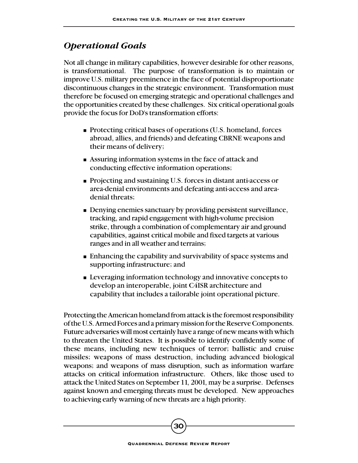## *Operational Goals*

Not all change in military capabilities, however desirable for other reasons, is transformational. The purpose of transformation is to maintain or improve U.S. military preeminence in the face of potential disproportionate discontinuous changes in the strategic environment. Transformation must therefore be focused on emerging strategic and operational challenges and the opportunities created by these challenges. Six critical operational goals provide the focus for DoD's transformation efforts:

- Protecting critical bases of operations (U.S. homeland, forces abroad, allies, and friends) and defeating CBRNE weapons and their means of delivery;
- Assuring information systems in the face of attack and conducting effective information operations;
- Projecting and sustaining U.S. forces in distant anti-access or area-denial environments and defeating anti-access and areadenial threats;
- Denying enemies sanctuary by providing persistent surveillance, tracking, and rapid engagement with high-volume precision strike, through a combination of complementary air and ground capabilities, against critical mobile and fixed targets at various ranges and in all weather and terrains;
- Enhancing the capability and survivability of space systems and supporting infrastructure; and
- Leveraging information technology and innovative concepts to develop an interoperable, joint C4ISR architecture and capability that includes a tailorable joint operational picture.

Protecting the American homeland from attack is the foremost responsibility of the U.S. Armed Forces and a primary mission for the Reserve Components. Future adversaries will most certainly have a range of new means with which to threaten the United States. It is possible to identify confidently some of these means, including new techniques of terror; ballistic and cruise missiles; weapons of mass destruction, including advanced biological weapons; and weapons of mass disruption, such as information warfare attacks on critical information infrastructure. Others, like those used to attack the United States on September 11, 2001, may be a surprise. Defenses against known and emerging threats must be developed. New approaches to achieving early warning of new threats are a high priority.

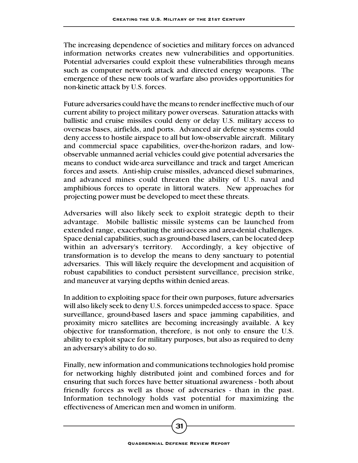The increasing dependence of societies and military forces on advanced information networks creates new vulnerabilities and opportunities. Potential adversaries could exploit these vulnerabilities through means such as computer network attack and directed energy weapons. The emergence of these new tools of warfare also provides opportunities for non-kinetic attack by U.S. forces.

Future adversaries could have the means to render ineffective much of our current ability to project military power overseas. Saturation attacks with ballistic and cruise missiles could deny or delay U.S. military access to overseas bases, airfields, and ports. Advanced air defense systems could deny access to hostile airspace to all but low-observable aircraft. Military and commercial space capabilities, over-the-horizon radars, and lowobservable unmanned aerial vehicles could give potential adversaries the means to conduct wide-area surveillance and track and target American forces and assets. Anti-ship cruise missiles, advanced diesel submarines, and advanced mines could threaten the ability of U.S. naval and amphibious forces to operate in littoral waters. New approaches for projecting power must be developed to meet these threats.

Adversaries will also likely seek to exploit strategic depth to their advantage. Mobile ballistic missile systems can be launched from extended range, exacerbating the anti-access and area-denial challenges. Space denial capabilities, such as ground-based lasers, can be located deep within an adversary's territory. Accordingly, a key objective of transformation is to develop the means to deny sanctuary to potential adversaries. This will likely require the development and acquisition of robust capabilities to conduct persistent surveillance, precision strike, and maneuver at varying depths within denied areas.

In addition to exploiting space for their own purposes, future adversaries will also likely seek to deny U.S. forces unimpeded access to space. Space surveillance, ground-based lasers and space jamming capabilities, and proximity micro satellites are becoming increasingly available. A key objective for transformation, therefore, is not only to ensure the U.S. ability to exploit space for military purposes, but also as required to deny an adversary's ability to do so.

Finally, new information and communications technologies hold promise for networking highly distributed joint and combined forces and for ensuring that such forces have better situational awareness - both about friendly forces as well as those of adversaries - than in the past. Information technology holds vast potential for maximizing the effectiveness of American men and women in uniform.

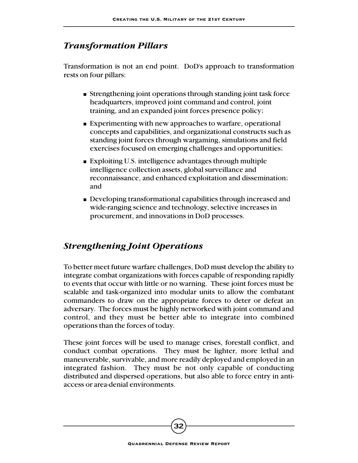# *Transformation Pillars*

Transformation is not an end point. DoD's approach to transformation rests on four pillars:

- Strengthening joint operations through standing joint task force headquarters, improved joint command and control, joint training, and an expanded joint forces presence policy;
- Experimenting with new approaches to warfare, operational concepts and capabilities, and organizational constructs such as standing joint forces through wargaming, simulations and field exercises focused on emerging challenges and opportunities;
- Exploiting U.S. intelligence advantages through multiple intelligence collection assets, global surveillance and reconnaissance, and enhanced exploitation and dissemination; and
- Developing transformational capabilities through increased and wide-ranging science and technology, selective increases in procurement, and innovations in DoD processes.

# *Strengthening Joint Operations*

To better meet future warfare challenges, DoD must develop the ability to integrate combat organizations with forces capable of responding rapidly to events that occur with little or no warning. These joint forces must be scalable and task-organized into modular units to allow the combatant commanders to draw on the appropriate forces to deter or defeat an adversary. The forces must be highly networked with joint command and control, and they must be better able to integrate into combined operations than the forces of today.

These joint forces will be used to manage crises, forestall conflict, and conduct combat operations. They must be lighter, more lethal and maneuverable, survivable, and more readily deployed and employed in an integrated fashion. They must be not only capable of conducting distributed and dispersed operations, but also able to force entry in antiaccess or area-denial environments.

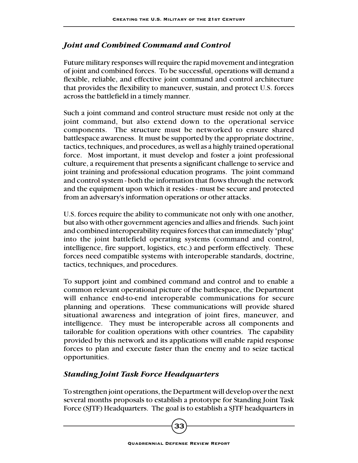#### *Joint and Combined Command and Control*

Future military responses will require the rapid movement and integration of joint and combined forces. To be successful, operations will demand a flexible, reliable, and effective joint command and control architecture that provides the flexibility to maneuver, sustain, and protect U.S. forces across the battlefield in a timely manner.

Such a joint command and control structure must reside not only at the joint command, but also extend down to the operational service components. The structure must be networked to ensure shared battlespace awareness. It must be supported by the appropriate doctrine, tactics, techniques, and procedures, as well as a highly trained operational force. Most important, it must develop and foster a joint professional culture, a requirement that presents a significant challenge to service and joint training and professional education programs. The joint command and control system - both the information that flows through the network and the equipment upon which it resides - must be secure and protected from an adversary's information operations or other attacks.

U.S. forces require the ability to communicate not only with one another, but also with other government agencies and allies and friends. Such joint and combined interoperability requires forces that can immediately "plug" into the joint battlefield operating systems (command and control, intelligence, fire support, logistics, etc.) and perform effectively. These forces need compatible systems with interoperable standards, doctrine, tactics, techniques, and procedures.

To support joint and combined command and control and to enable a common relevant operational picture of the battlespace, the Department will enhance end-to-end interoperable communications for secure planning and operations. These communications will provide shared situational awareness and integration of joint fires, maneuver, and intelligence. They must be interoperable across all components and tailorable for coalition operations with other countries. The capability provided by this network and its applications will enable rapid response forces to plan and execute faster than the enemy and to seize tactical opportunities.

#### *Standing Joint Task Force Headquarters*

To strengthen joint operations, the Department will develop over the next several months proposals to establish a prototype for Standing Joint Task Force (SJTF) Headquarters. The goal is to establish a SJTF headquarters in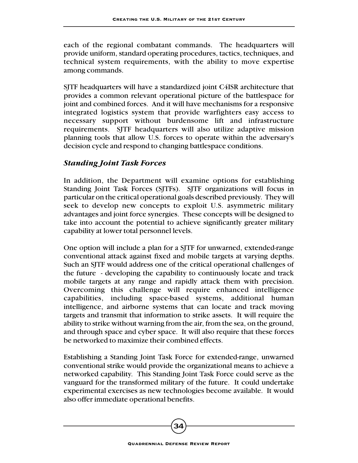each of the regional combatant commands. The headquarters will provide uniform, standard operating procedures, tactics, techniques, and technical system requirements, with the ability to move expertise among commands.

SJTF headquarters will have a standardized joint C4ISR architecture that provides a common relevant operational picture of the battlespace for joint and combined forces. And it will have mechanisms for a responsive integrated logistics system that provide warfighters easy access to necessary support without burdensome lift and infrastructure requirements. SJTF headquarters will also utilize adaptive mission planning tools that allow U.S. forces to operate within the adversary's decision cycle and respond to changing battlespace conditions.

#### *Standing Joint Task Forces*

In addition, the Department will examine options for establishing Standing Joint Task Forces (SJTFs). SJTF organizations will focus in particular on the critical operational goals described previously. They will seek to develop new concepts to exploit U.S. asymmetric military advantages and joint force synergies. These concepts will be designed to take into account the potential to achieve significantly greater military capability at lower total personnel levels.

One option will include a plan for a SJTF for unwarned, extended-range conventional attack against fixed and mobile targets at varying depths. Such an SJTF would address one of the critical operational challenges of the future - developing the capability to continuously locate and track mobile targets at any range and rapidly attack them with precision. Overcoming this challenge will require enhanced intelligence capabilities, including space-based systems, additional human intelligence, and airborne systems that can locate and track moving targets and transmit that information to strike assets. It will require the ability to strike without warning from the air, from the sea, on the ground, and through space and cyber space. It will also require that these forces be networked to maximize their combined effects.

Establishing a Standing Joint Task Force for extended-range, unwarned conventional strike would provide the organizational means to achieve a networked capability. This Standing Joint Task Force could serve as the vanguard for the transformed military of the future. It could undertake experimental exercises as new technologies become available. It would also offer immediate operational benefits.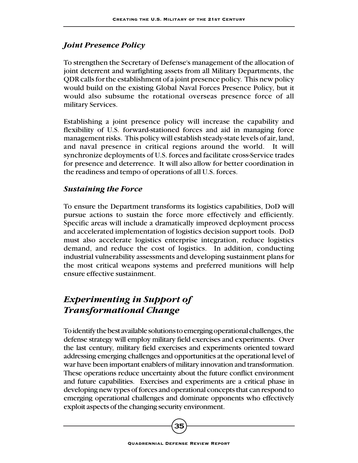#### *Joint Presence Policy*

To strengthen the Secretary of Defense's management of the allocation of joint deterrent and warfighting assets from all Military Departments, the QDR calls for the establishment of a joint presence policy. This new policy would build on the existing Global Naval Forces Presence Policy, but it would also subsume the rotational overseas presence force of all military Services.

Establishing a joint presence policy will increase the capability and flexibility of U.S. forward-stationed forces and aid in managing force management risks. This policy will establish steady-state levels of air, land, and naval presence in critical regions around the world. It will synchronize deployments of U.S. forces and facilitate cross-Service trades for presence and deterrence. It will also allow for better coordination in the readiness and tempo of operations of all U.S. forces.

#### *Sustaining the Force*

To ensure the Department transforms its logistics capabilities, DoD will pursue actions to sustain the force more effectively and efficiently. Specific areas will include a dramatically improved deployment process and accelerated implementation of logistics decision support tools. DoD must also accelerate logistics enterprise integration, reduce logistics demand, and reduce the cost of logistics. In addition, conducting industrial vulnerability assessments and developing sustainment plans for the most critical weapons systems and preferred munitions will help ensure effective sustainment.

# *Experimenting in Support of Transformational Change*

To identify the best available solutions to emerging operational challenges, the defense strategy will employ military field exercises and experiments. Over the last century, military field exercises and experiments oriented toward addressing emerging challenges and opportunities at the operational level of war have been important enablers of military innovation and transformation. These operations reduce uncertainty about the future conflict environment and future capabilities. Exercises and experiments are a critical phase in developing new types of forces and operational concepts that can respond to emerging operational challenges and dominate opponents who effectively exploit aspects of the changing security environment.

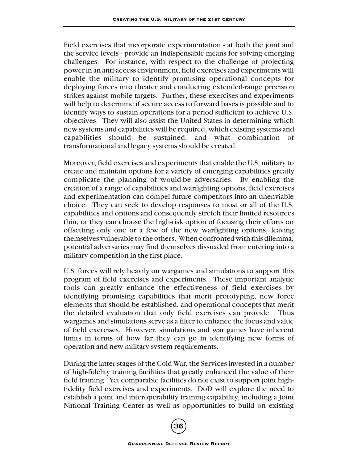Field exercises that incorporate experimentation - at both the joint and the service levels - provide an indispensable means for solving emerging challenges. For instance, with respect to the challenge of projecting power in an anti-access environment, field exercises and experiments will enable the military to identify promising operational concepts for deploying forces into theater and conducting extended-range precision strikes against mobile targets. Further, these exercises and experiments will help to determine if secure access to forward bases is possible and to identify ways to sustain operations for a period sufficient to achieve U.S. objectives. They will also assist the United States in determining which new systems and capabilities will be required, which existing systems and capabilities should be sustained, and what combination of transformational and legacy systems should be created.

Moreover, field exercises and experiments that enable the U.S. military to create and maintain options for a variety of emerging capabilities greatly complicate the planning of would-be adversaries. By enabling the creation of a range of capabilities and warfighting options, field exercises and experimentation can compel future competitors into an unenviable choice. They can seek to develop responses to most or all of the U.S. capabilities and options and consequently stretch their limited resources thin, or they can choose the high-risk option of focusing their efforts on offsetting only one or a few of the new warfighting options, leaving themselves vulnerable to the others. When confronted with this dilemma, potential adversaries may find themselves dissuaded from entering into a military competition in the first place.

U.S. forces will rely heavily on wargames and simulations to support this program of field exercises and experiments. These important analytic tools can greatly enhance the effectiveness of field exercises by identifying promising capabilities that merit prototyping, new force elements that should be established, and operational concepts that merit the detailed evaluation that only field exercises can provide. Thus wargames and simulations serve as a filter to enhance the focus and value of field exercises. However, simulations and war games have inherent limits in terms of how far they can go in identifying new forms of operation and new military system requirements.

During the latter stages of the Cold War, the Services invested in a number of high-fidelity training facilities that greatly enhanced the value of their field training. Yet comparable facilities do not exist to support joint highfidelity field exercises and experiments. DoD will explore the need to establish a joint and interoperability training capability, including a Joint National Training Center as well as opportunities to build on existing

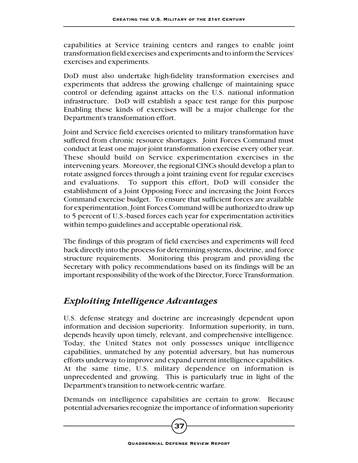capabilities at Service training centers and ranges to enable joint transformation field exercises and experiments and to inform the Services' exercises and experiments.

DoD must also undertake high-fidelity transformation exercises and experiments that address the growing challenge of maintaining space control or defending against attacks on the U.S. national information infrastructure. DoD will establish a space test range for this purpose Enabling these kinds of exercises will be a major challenge for the Department's transformation effort.

Joint and Service field exercises oriented to military transformation have suffered from chronic resource shortages. Joint Forces Command must conduct at least one major joint transformation exercise every other year. These should build on Service experimentation exercises in the intervening years. Moreover, the regional CINCs should develop a plan to rotate assigned forces through a joint training event for regular exercises and evaluations. To support this effort, DoD will consider the establishment of a Joint Opposing Force and increasing the Joint Forces Command exercise budget. To ensure that sufficient forces are available for experimentation, Joint Forces Command will be authorized to draw up to 5 percent of U.S.-based forces each year for experimentation activities within tempo guidelines and acceptable operational risk.

The findings of this program of field exercises and experiments will feed back directly into the process for determining systems, doctrine, and force structure requirements. Monitoring this program and providing the Secretary with policy recommendations based on its findings will be an important responsibility of the work of the Director, Force Transformation.

# *Exploiting Intelligence Advantages*

U.S. defense strategy and doctrine are increasingly dependent upon information and decision superiority. Information superiority, in turn, depends heavily upon timely, relevant, and comprehensive intelligence. Today, the United States not only possesses unique intelligence capabilities, unmatched by any potential adversary, but has numerous efforts underway to improve and expand current intelligence capabilities. At the same time, U.S. military dependence on information is unprecedented and growing. This is particularly true in light of the Department's transition to network-centric warfare.

Demands on intelligence capabilities are certain to grow. Because potential adversaries recognize the importance of information superiority

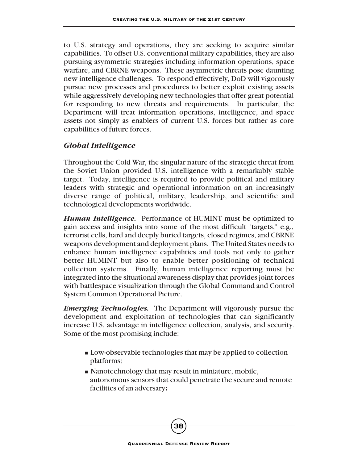to U.S. strategy and operations, they are seeking to acquire similar capabilities. To offset U.S. conventional military capabilities, they are also pursuing asymmetric strategies including information operations, space warfare, and CBRNE weapons. These asymmetric threats pose daunting new intelligence challenges. To respond effectively, DoD will vigorously pursue new processes and procedures to better exploit existing assets while aggressively developing new technologies that offer great potential for responding to new threats and requirements. In particular, the Department will treat information operations, intelligence, and space assets not simply as enablers of current U.S. forces but rather as core capabilities of future forces.

#### *Global Intelligence*

Throughout the Cold War, the singular nature of the strategic threat from the Soviet Union provided U.S. intelligence with a remarkably stable target. Today, intelligence is required to provide political and military leaders with strategic and operational information on an increasingly diverse range of political, military, leadership, and scientific and technological developments worldwide.

*Human Intelligence.* Performance of HUMINT must be optimized to gain access and insights into some of the most difficult "targets," e.g., terrorist cells, hard and deeply buried targets, closed regimes, and CBRNE weapons development and deployment plans. The United States needs to enhance human intelligence capabilities and tools not only to gather better HUMINT but also to enable better positioning of technical collection systems. Finally, human intelligence reporting must be integrated into the situational awareness display that provides joint forces with battlespace visualization through the Global Command and Control System Common Operational Picture.

*Emerging Technologies.* The Department will vigorously pursue the development and exploitation of technologies that can significantly increase U.S. advantage in intelligence collection, analysis, and security. Some of the most promising include:

- Low-observable technologies that may be applied to collection platforms;
- Nanotechnology that may result in miniature, mobile, autonomous sensors that could penetrate the secure and remote facilities of an adversary;

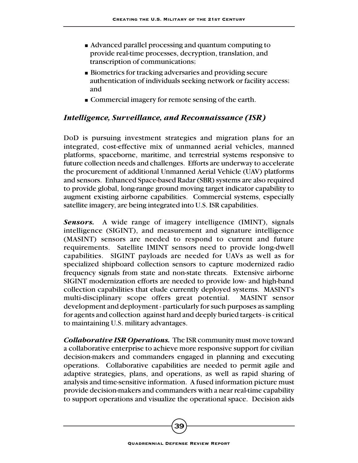- Advanced parallel processing and quantum computing to provide real-time processes, decryption, translation, and transcription of communications;
- Biometrics for tracking adversaries and providing secure authentication of individuals seeking network or facility access; and
- Commercial imagery for remote sensing of the earth.

#### *Intelligence, Surveillance, and Reconnaissance (ISR)*

DoD is pursuing investment strategies and migration plans for an integrated, cost-effective mix of unmanned aerial vehicles, manned platforms, spaceborne, maritime, and terrestrial systems responsive to future collection needs and challenges. Efforts are underway to accelerate the procurement of additional Unmanned Aerial Vehicle (UAV) platforms and sensors. Enhanced Space-based Radar (SBR) systems are also required to provide global, long-range ground moving target indicator capability to augment existing airborne capabilities. Commercial systems, especially satellite imagery, are being integrated into U.S. ISR capabilities.

*Sensors.* A wide range of imagery intelligence (IMINT), signals intelligence (SIGINT), and measurement and signature intelligence (MASINT) sensors are needed to respond to current and future requirements. Satellite IMINT sensors need to provide long-dwell capabilities. SIGINT payloads are needed for UAVs as well as for specialized shipboard collection sensors to capture modernized radio frequency signals from state and non-state threats. Extensive airborne SIGINT modernization efforts are needed to provide low- and high-band collection capabilities that elude currently deployed systems. MASINT's multi-disciplinary scope offers great potential. MASINT sensor development and deployment - particularly for such purposes as sampling for agents and collection against hard and deeply buried targets - is critical to maintaining U.S. military advantages.

*Collaborative ISR Operations.* The ISR community must move toward a collaborative enterprise to achieve more responsive support for civilian decision-makers and commanders engaged in planning and executing operations. Collaborative capabilities are needed to permit agile and adaptive strategies, plans, and operations, as well as rapid sharing of analysis and time-sensitive information. A fused information picture must provide decision-makers and commanders with a near real-time capability to support operations and visualize the operational space. Decision aids

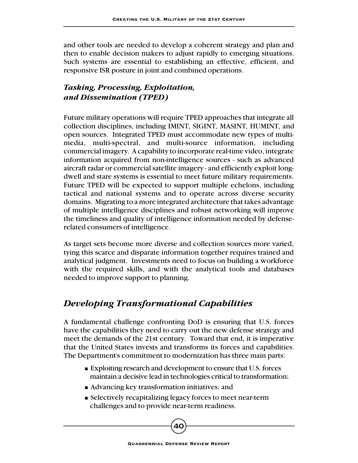and other tools are needed to develop a coherent strategy and plan and then to enable decision makers to adjust rapidly to emerging situations. Such systems are essential to establishing an effective, efficient, and responsive ISR posture in joint and combined operations.

### *Tasking, Processing, Exploitation, and Dissemination (TPED)*

Future military operations will require TPED approaches that integrate all collection disciplines, including IMINT, SIGINT, MASINT, HUMINT, and open sources. Integrated TPED must accommodate new types of multimedia, multi-spectral, and multi-source information, including commercial imagery. A capability to incorporate real-time video, integrate information acquired from non-intelligence sources - such as advanced aircraft radar or commercial satellite imagery - and efficiently exploit longdwell and stare systems is essential to meet future military requirements. Future TPED will be expected to support multiple echelons, including tactical and national systems and to operate across diverse security domains. Migrating to a more integrated architecture that takes advantage of multiple intelligence disciplines and robust networking will improve the timeliness and quality of intelligence information needed by defenserelated consumers of intelligence.

As target sets become more diverse and collection sources more varied, tying this scarce and disparate information together requires trained and analytical judgment. Investments need to focus on building a workforce with the required skills, and with the analytical tools and databases needed to improve support to planning.

# *Developing Transformational Capabilities*

A fundamental challenge confronting DoD is ensuring that U.S. forces have the capabilities they need to carry out the new defense strategy and meet the demands of the 21st century. Toward that end, it is imperative that the United States invests and transforms its forces and capabilities. The Department's commitment to modernization has three main parts:

- Exploiting research and development to ensure that U.S. forces maintain a decisive lead in technologies critical to transformation;
- Advancing key transformation initiatives; and
- Selectively recapitalizing legacy forces to meet near-term challenges and to provide near-term readiness.

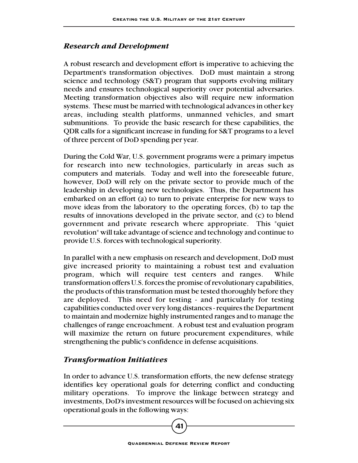#### *Research and Development*

A robust research and development effort is imperative to achieving the Department's transformation objectives. DoD must maintain a strong science and technology (S&T) program that supports evolving military needs and ensures technological superiority over potential adversaries. Meeting transformation objectives also will require new information systems. These must be married with technological advances in other key areas, including stealth platforms, unmanned vehicles, and smart submunitions. To provide the basic research for these capabilities, the QDR calls for a significant increase in funding for S&T programs to a level of three percent of DoD spending per year.

During the Cold War, U.S. government programs were a primary impetus for research into new technologies, particularly in areas such as computers and materials. Today and well into the foreseeable future, however, DoD will rely on the private sector to provide much of the leadership in developing new technologies. Thus, the Department has embarked on an effort (a) to turn to private enterprise for new ways to move ideas from the laboratory to the operating forces, (b) to tap the results of innovations developed in the private sector, and (c) to blend government and private research where appropriate. This "quiet revolution" will take advantage of science and technology and continue to provide U.S. forces with technological superiority.

In parallel with a new emphasis on research and development, DoD must give increased priority to maintaining a robust test and evaluation program, which will require test centers and ranges. While transformation offers U.S. forces the promise of revolutionary capabilities, the products of this transformation must be tested thoroughly before they are deployed. This need for testing - and particularly for testing capabilities conducted over very long distances - requires the Department to maintain and modernize highly instrumented ranges and to manage the challenges of range encroachment. A robust test and evaluation program will maximize the return on future procurement expenditures, while strengthening the public's confidence in defense acquisitions.

#### *Transformation Initiatives*

In order to advance U.S. transformation efforts, the new defense strategy identifies key operational goals for deterring conflict and conducting military operations. To improve the linkage between strategy and investments, DoD's investment resources will be focused on achieving six operational goals in the following ways: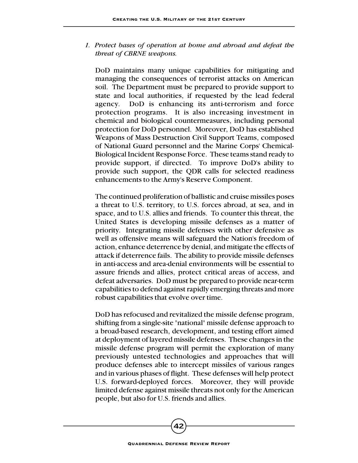*1. Protect bases of operation at home and abroad and defeat the threat of CBRNE weapons.*

DoD maintains many unique capabilities for mitigating and managing the consequences of terrorist attacks on American soil. The Department must be prepared to provide support to state and local authorities, if requested by the lead federal agency. DoD is enhancing its anti-terrorism and force protection programs. It is also increasing investment in chemical and biological countermeasures, including personal protection for DoD personnel. Moreover, DoD has established Weapons of Mass Destruction Civil Support Teams, composed of National Guard personnel and the Marine Corps' Chemical-Biological Incident Response Force. These teams stand ready to provide support, if directed. To improve DoD's ability to provide such support, the QDR calls for selected readiness enhancements to the Army's Reserve Component.

The continued proliferation of ballistic and cruise missiles poses a threat to U.S. territory, to U.S. forces abroad, at sea, and in space, and to U.S. allies and friends. To counter this threat, the United States is developing missile defenses as a matter of priority. Integrating missile defenses with other defensive as well as offensive means will safeguard the Nation's freedom of action, enhance deterrence by denial, and mitigate the effects of attack if deterrence fails. The ability to provide missile defenses in anti-access and area-denial environments will be essential to assure friends and allies, protect critical areas of access, and defeat adversaries. DoD must be prepared to provide near-term capabilities to defend against rapidly emerging threats and more robust capabilities that evolve over time.

DoD has refocused and revitalized the missile defense program, shifting from a single-site "national" missile defense approach to a broad-based research, development, and testing effort aimed at deployment of layered missile defenses. These changes in the missile defense program will permit the exploration of many previously untested technologies and approaches that will produce defenses able to intercept missiles of various ranges and in various phases of flight. These defenses will help protect U.S. forward-deployed forces. Moreover, they will provide limited defense against missile threats not only for the American people, but also for U.S. friends and allies.

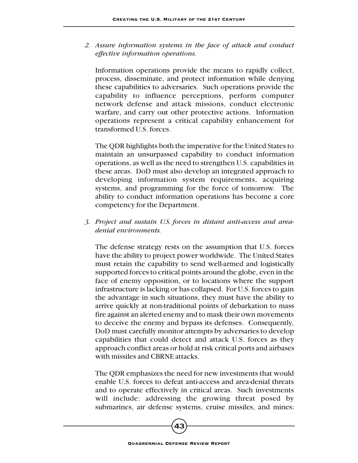*2. Assure information systems in the face of attack and conduct effective information operations.*

Information operations provide the means to rapidly collect, process, disseminate, and protect information while denying these capabilities to adversaries. Such operations provide the capability to influence perceptions, perform computer network defense and attack missions, conduct electronic warfare, and carry out other protective actions. Information operations represent a critical capability enhancement for transformed U.S. forces.

The QDR highlights both the imperative for the United States to maintain an unsurpassed capability to conduct information operations, as well as the need to strengthen U.S. capabilities in these areas. DoD must also develop an integrated approach to developing information system requirements, acquiring systems, and programming for the force of tomorrow. The ability to conduct information operations has become a core competency for the Department.

*3. Project and sustain U.S. forces in distant anti-access and areadenial environments.*

The defense strategy rests on the assumption that U.S. forces have the ability to project power worldwide. The United States must retain the capability to send well-armed and logistically supported forces to critical points around the globe, even in the face of enemy opposition, or to locations where the support infrastructure is lacking or has collapsed. For U.S. forces to gain the advantage in such situations, they must have the ability to arrive quickly at non-traditional points of debarkation to mass fire against an alerted enemy and to mask their own movements to deceive the enemy and bypass its defenses. Consequently, DoD must carefully monitor attempts by adversaries to develop capabilities that could detect and attack U.S. forces as they approach conflict areas or hold at risk critical ports and airbases with missiles and CBRNE attacks.

The QDR emphasizes the need for new investments that would enable U.S. forces to defeat anti-access and area-denial threats and to operate effectively in critical areas. Such investments will include: addressing the growing threat posed by submarines, air defense systems, cruise missiles, and mines;

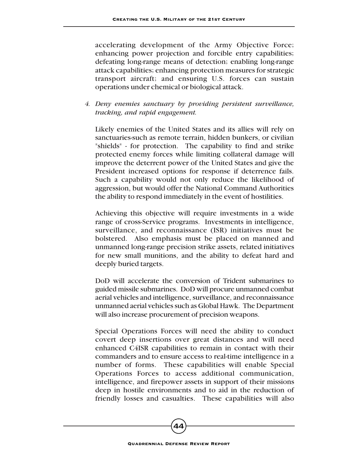accelerating development of the Army Objective Force; enhancing power projection and forcible entry capabilities; defeating long-range means of detection; enabling long-range attack capabilities; enhancing protection measures for strategic transport aircraft; and ensuring U.S. forces can sustain operations under chemical or biological attack.

*4. Deny enemies sanctuary by providing persistent surveillance, tracking, and rapid engagement.*

Likely enemies of the United States and its allies will rely on sanctuaries-such as remote terrain, hidden bunkers, or civilian "shields" - for protection. The capability to find and strike protected enemy forces while limiting collateral damage will improve the deterrent power of the United States and give the President increased options for response if deterrence fails. Such a capability would not only reduce the likelihood of aggression, but would offer the National Command Authorities the ability to respond immediately in the event of hostilities.

Achieving this objective will require investments in a wide range of cross-Service programs. Investments in intelligence, surveillance, and reconnaissance (ISR) initiatives must be bolstered. Also emphasis must be placed on manned and unmanned long-range precision strike assets, related initiatives for new small munitions, and the ability to defeat hard and deeply buried targets.

DoD will accelerate the conversion of Trident submarines to guided missile submarines. DoD will procure unmanned combat aerial vehicles and intelligence, surveillance, and reconnaissance unmanned aerial vehicles such as Global Hawk. The Department will also increase procurement of precision weapons.

Special Operations Forces will need the ability to conduct covert deep insertions over great distances and will need enhanced C4ISR capabilities to remain in contact with their commanders and to ensure access to real-time intelligence in a number of forms. These capabilities will enable Special Operations Forces to access additional communication, intelligence, and firepower assets in support of their missions deep in hostile environments and to aid in the reduction of friendly losses and casualties. These capabilities will also

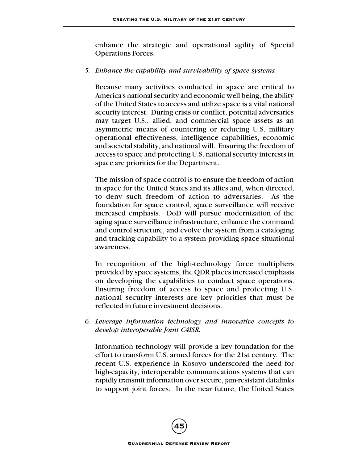enhance the strategic and operational agility of Special Operations Forces.

#### *5. Enhance the capability and survivability of space systems.*

Because many activities conducted in space are critical to America's national security and economic well being, the ability of the United States to access and utilize space is a vital national security interest. During crisis or conflict, potential adversaries may target U.S., allied, and commercial space assets as an asymmetric means of countering or reducing U.S. military operational effectiveness, intelligence capabilities, economic and societal stability, and national will. Ensuring the freedom of access to space and protecting U.S. national security interests in space are priorities for the Department.

The mission of space control is to ensure the freedom of action in space for the United States and its allies and, when directed, to deny such freedom of action to adversaries. As the foundation for space control, space surveillance will receive increased emphasis. DoD will pursue modernization of the aging space surveillance infrastructure, enhance the command and control structure, and evolve the system from a cataloging and tracking capability to a system providing space situational awareness.

In recognition of the high-technology force multipliers provided by space systems, the QDR places increased emphasis on developing the capabilities to conduct space operations. Ensuring freedom of access to space and protecting U.S. national security interests are key priorities that must be reflected in future investment decisions.

*6. Leverage information technology and innovative concepts to develop interoperable Joint C4ISR.*

Information technology will provide a key foundation for the effort to transform U.S. armed forces for the 21st century. The recent U.S. experience in Kosovo underscored the need for high-capacity, interoperable communications systems that can rapidly transmit information over secure, jam-resistant datalinks to support joint forces. In the near future, the United States

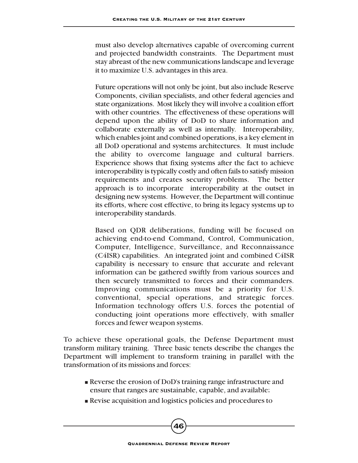must also develop alternatives capable of overcoming current and projected bandwidth constraints. The Department must stay abreast of the new communications landscape and leverage it to maximize U.S. advantages in this area.

Future operations will not only be joint, but also include Reserve Components, civilian specialists, and other federal agencies and state organizations. Most likely they will involve a coalition effort with other countries. The effectiveness of these operations will depend upon the ability of DoD to share information and collaborate externally as well as internally. Interoperability, which enables joint and combined operations, is a key element in all DoD operational and systems architectures. It must include the ability to overcome language and cultural barriers. Experience shows that fixing systems after the fact to achieve interoperability is typically costly and often fails to satisfy mission requirements and creates security problems. The better approach is to incorporate interoperability at the outset in designing new systems. However, the Department will continue its efforts, where cost effective, to bring its legacy systems up to interoperability standards.

Based on QDR deliberations, funding will be focused on achieving end-to-end Command, Control, Communication, Computer, Intelligence, Surveillance, and Reconnaissance (C4ISR) capabilities. An integrated joint and combined C4ISR capability is necessary to ensure that accurate and relevant information can be gathered swiftly from various sources and then securely transmitted to forces and their commanders. Improving communications must be a priority for U.S. conventional, special operations, and strategic forces. Information technology offers U.S. forces the potential of conducting joint operations more effectively, with smaller forces and fewer weapon systems.

To achieve these operational goals, the Defense Department must transform military training. Three basic tenets describe the changes the Department will implement to transform training in parallel with the transformation of its missions and forces:

- Reverse the erosion of DoD's training range infrastructure and ensure that ranges are sustainable, capable, and available;
- Revise acquisition and logistics policies and procedures to

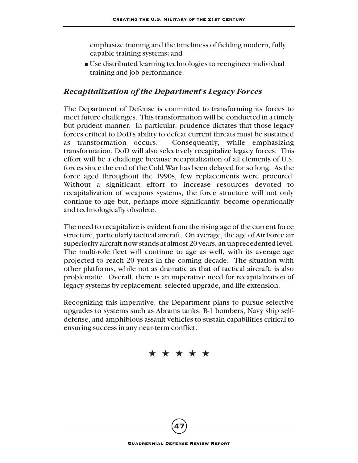emphasize training and the timeliness of fielding modern, fully capable training systems; and

■ Use distributed learning technologies to reengineer individual training and job performance.

#### *Recapitalization of the Department's Legacy Forces*

The Department of Defense is committed to transforming its forces to meet future challenges. This transformation will be conducted in a timely but prudent manner. In particular, prudence dictates that those legacy forces critical to DoD's ability to defeat current threats must be sustained as transformation occurs. Consequently, while emphasizing transformation, DoD will also selectively recapitalize legacy forces. This effort will be a challenge because recapitalization of all elements of U.S. forces since the end of the Cold War has been delayed for so long. As the force aged throughout the 1990s, few replacements were procured. Without a significant effort to increase resources devoted to recapitalization of weapons systems, the force structure will not only continue to age but, perhaps more significantly, become operationally and technologically obsolete.

The need to recapitalize is evident from the rising age of the current force structure, particularly tactical aircraft. On average, the age of Air Force air superiority aircraft now stands at almost 20 years, an unprecedented level. The multi-role fleet will continue to age as well, with its average age projected to reach 20 years in the coming decade. The situation with other platforms, while not as dramatic as that of tactical aircraft, is also problematic. Overall, there is an imperative need for recapitalization of legacy systems by replacement, selected upgrade, and life extension.

Recognizing this imperative, the Department plans to pursue selective upgrades to systems such as Abrams tanks, B-1 bombers, Navy ship selfdefense, and amphibious assault vehicles to sustain capabilities critical to ensuring success in any near-term conflict.

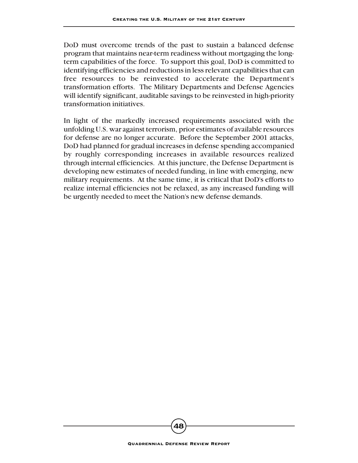DoD must overcome trends of the past to sustain a balanced defense program that maintains near-term readiness without mortgaging the longterm capabilities of the force. To support this goal, DoD is committed to identifying efficiencies and reductions in less relevant capabilities that can free resources to be reinvested to accelerate the Department's transformation efforts. The Military Departments and Defense Agencies will identify significant, auditable savings to be reinvested in high-priority transformation initiatives.

In light of the markedly increased requirements associated with the unfolding U.S. war against terrorism, prior estimates of available resources for defense are no longer accurate. Before the September 2001 attacks, DoD had planned for gradual increases in defense spending accompanied by roughly corresponding increases in available resources realized through internal efficiencies. At this juncture, the Defense Department is developing new estimates of needed funding, in line with emerging, new military requirements. At the same time, it is critical that DoD's efforts to realize internal efficiencies not be relaxed, as any increased funding will be urgently needed to meet the Nation's new defense demands.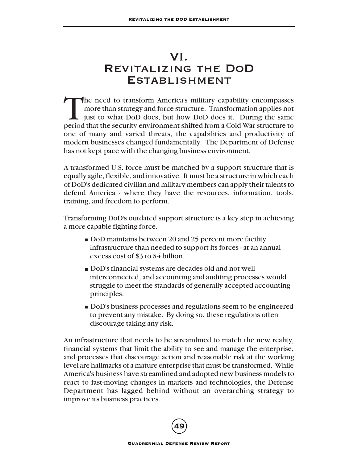# VI. Revitalizing the DoD **ESTABLISHMENT**

The need to transform America's military capability encompasses more than strategy and force structure. Transformation applies not just to what DoD does, but how DoD does it. During the same period that the security environment shifted from a Cold War structure to one of many and varied threats, the capabilities and productivity of modern businesses changed fundamentally. The Department of Defense has not kept pace with the changing business environment.

A transformed U.S. force must be matched by a support structure that is equally agile, flexible, and innovative. It must be a structure in which each of DoD's dedicated civilian and military members can apply their talents to defend America - where they have the resources, information, tools, training, and freedom to perform.

Transforming DoD's outdated support structure is a key step in achieving a more capable fighting force.

- DoD maintains between 20 and 25 percent more facility infrastructure than needed to support its forces - at an annual excess cost of \$3 to \$4 billion.
- DoD's financial systems are decades old and not well interconnected, and accounting and auditing processes would struggle to meet the standards of generally accepted accounting principles.
- DoD's business processes and regulations seem to be engineered to prevent any mistake. By doing so, these regulations often discourage taking any risk.

An infrastructure that needs to be streamlined to match the new reality, financial systems that limit the ability to see and manage the enterprise, and processes that discourage action and reasonable risk at the working level are hallmarks of a mature enterprise that must be transformed. While America's business have streamlined and adopted new business models to react to fast-moving changes in markets and technologies, the Defense Department has lagged behind without an overarching strategy to improve its business practices.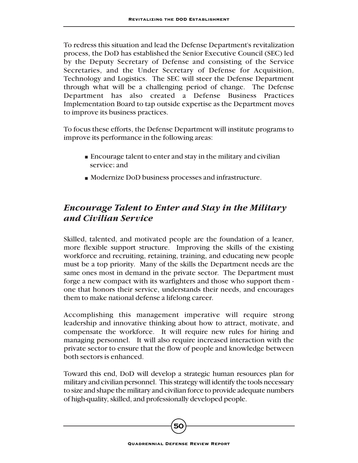To redress this situation and lead the Defense Department's revitalization process, the DoD has established the Senior Executive Council (SEC) led by the Deputy Secretary of Defense and consisting of the Service Secretaries, and the Under Secretary of Defense for Acquisition, Technology and Logistics. The SEC will steer the Defense Department through what will be a challenging period of change. The Defense Department has also created a Defense Business Practices Implementation Board to tap outside expertise as the Department moves to improve its business practices.

To focus these efforts, the Defense Department will institute programs to improve its performance in the following areas:

- Encourage talent to enter and stay in the military and civilian service; and
- Modernize DoD business processes and infrastructure.

# *Encourage Talent to Enter and Stay in the Military and Civilian Service*

Skilled, talented, and motivated people are the foundation of a leaner, more flexible support structure. Improving the skills of the existing workforce and recruiting, retaining, training, and educating new people must be a top priority. Many of the skills the Department needs are the same ones most in demand in the private sector. The Department must forge a new compact with its warfighters and those who support them one that honors their service, understands their needs, and encourages them to make national defense a lifelong career.

Accomplishing this management imperative will require strong leadership and innovative thinking about how to attract, motivate, and compensate the workforce. It will require new rules for hiring and managing personnel. It will also require increased interaction with the private sector to ensure that the flow of people and knowledge between both sectors is enhanced.

Toward this end, DoD will develop a strategic human resources plan for military and civilian personnel. This strategy will identify the tools necessary to size and shape the military and civilian force to provide adequate numbers of high-quality, skilled, and professionally developed people.

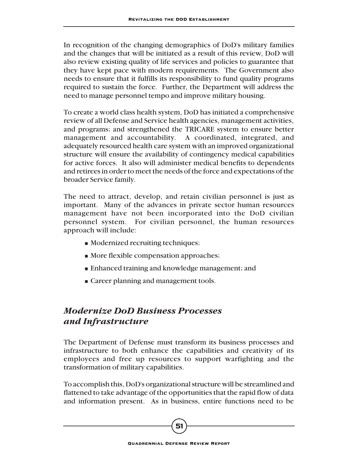In recognition of the changing demographics of DoD's military families and the changes that will be initiated as a result of this review, DoD will also review existing quality of life services and policies to guarantee that they have kept pace with modern requirements. The Government also needs to ensure that it fulfills its responsibility to fund quality programs required to sustain the force. Further, the Department will address the need to manage personnel tempo and improve military housing.

To create a world class health system, DoD has initiated a comprehensive review of all Defense and Service health agencies, management activities, and programs; and strengthened the TRICARE system to ensure better management and accountability. A coordinated, integrated, and adequately resourced health care system with an improved organizational structure will ensure the availability of contingency medical capabilities for active forces. It also will administer medical benefits to dependents and retirees in order to meet the needs of the force and expectations of the broader Service family.

The need to attract, develop, and retain civilian personnel is just as important. Many of the advances in private sector human resources management have not been incorporated into the DoD civilian personnel system. For civilian personnel, the human resources approach will include:

- Modernized recruiting techniques;
- More flexible compensation approaches;
- Enhanced training and knowledge management; and
- Career planning and management tools.

# *Modernize DoD Business Processes and Infrastructure*

The Department of Defense must transform its business processes and infrastructure to both enhance the capabilities and creativity of its employees and free up resources to support warfighting and the transformation of military capabilities.

To accomplish this, DoD's organizational structure will be streamlined and flattened to take advantage of the opportunities that the rapid flow of data and information present. As in business, entire functions need to be

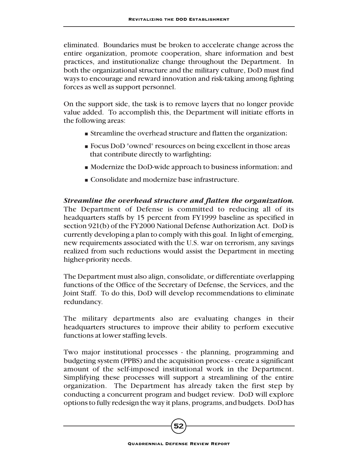eliminated. Boundaries must be broken to accelerate change across the entire organization, promote cooperation, share information and best practices, and institutionalize change throughout the Department. In both the organizational structure and the military culture, DoD must find ways to encourage and reward innovation and risk-taking among fighting forces as well as support personnel.

On the support side, the task is to remove layers that no longer provide value added. To accomplish this, the Department will initiate efforts in the following areas:

- Streamline the overhead structure and flatten the organization;
- Focus DoD "owned" resources on being excellent in those areas that contribute directly to warfighting;
- Modernize the DoD-wide approach to business information; and
- Consolidate and modernize base infrastructure.

*Streamline the overhead structure and flatten the organization.* The Department of Defense is committed to reducing all of its headquarters staffs by 15 percent from FY1999 baseline as specified in section 921(b) of the FY2000 National Defense Authorization Act. DoD is currently developing a plan to comply with this goal. In light of emerging, new requirements associated with the U.S. war on terrorism, any savings realized from such reductions would assist the Department in meeting higher-priority needs.

The Department must also align, consolidate, or differentiate overlapping functions of the Office of the Secretary of Defense, the Services, and the Joint Staff. To do this, DoD will develop recommendations to eliminate redundancy.

The military departments also are evaluating changes in their headquarters structures to improve their ability to perform executive functions at lower staffing levels.

Two major institutional processes - the planning, programming and budgeting system (PPBS) and the acquisition process - create a significant amount of the self-imposed institutional work in the Department. Simplifying these processes will support a streamlining of the entire organization. The Department has already taken the first step by conducting a concurrent program and budget review. DoD will explore options to fully redesign the way it plans, programs, and budgets. DoD has

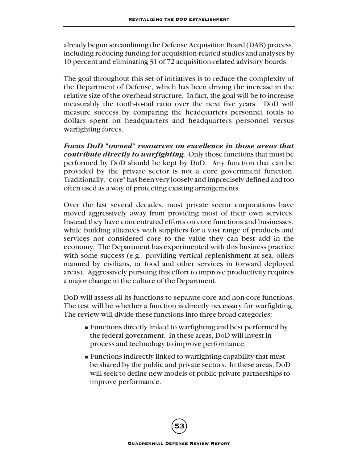already begun streamlining the Defense Acquisition Board (DAB) process, including reducing funding for acquisition-related studies and analyses by 10 percent and eliminating 31 of 72 acquisition-related advisory boards.

The goal throughout this set of initiatives is to reduce the complexity of the Department of Defense, which has been driving the increase in the relative size of the overhead structure. In fact, the goal will be to increase measurably the tooth-to-tail ratio over the next five years. DoD will measure success by comparing the headquarters personnel totals to dollars spent on headquarters and headquarters personnel versus warfighting forces.

*Focus DoD "owned" resources on excellence in those areas that contribute directly to warfighting.* Only those functions that must be performed by DoD should be kept by DoD. Any function that can be provided by the private sector is not a core government function. Traditionally, "core" has been very loosely and imprecisely defined and too often used as a way of protecting existing arrangements.

Over the last several decades, most private sector corporations have moved aggressively away from providing most of their own services. Instead they have concentrated efforts on core functions and businesses, while building alliances with suppliers for a vast range of products and services not considered core to the value they can best add in the economy. The Department has experimented with this business practice with some success (e.g., providing vertical replenishment at sea, oilers manned by civilians, or food and other services in forward deployed areas). Aggressively pursuing this effort to improve productivity requires a major change in the culture of the Department.

DoD will assess all its functions to separate core and non-core functions. The test will be whether a function is directly necessary for warfighting. The review will divide these functions into three broad categories:

- Functions directly linked to warfighting and best performed by the federal government. In these areas, DoD will invest in process and technology to improve performance.
- Functions indirectly linked to warfighting capability that must be shared by the public and private sectors. In these areas, DoD will seek to define new models of public-private partnerships to improve performance.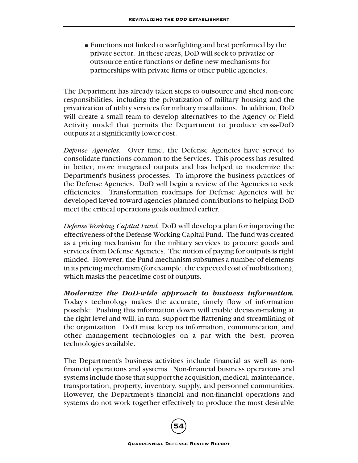■ Functions not linked to warfighting and best performed by the private sector. In these areas, DoD will seek to privatize or outsource entire functions or define new mechanisms for partnerships with private firms or other public agencies.

The Department has already taken steps to outsource and shed non-core responsibilities, including the privatization of military housing and the privatization of utility services for military installations. In addition, DoD will create a small team to develop alternatives to the Agency or Field Activity model that permits the Department to produce cross-DoD outputs at a significantly lower cost.

*Defense Agencies.* Over time, the Defense Agencies have served to consolidate functions common to the Services. This process has resulted in better, more integrated outputs and has helped to modernize the Department's business processes. To improve the business practices of the Defense Agencies, DoD will begin a review of the Agencies to seek efficiencies. Transformation roadmaps for Defense Agencies will be developed keyed toward agencies planned contributions to helping DoD meet the critical operations goals outlined earlier.

*Defense Working Capital Fund.* DoD will develop a plan for improving the effectiveness of the Defense Working Capital Fund. The fund was created as a pricing mechanism for the military services to procure goods and services from Defense Agencies. The notion of paying for outputs is right minded. However, the Fund mechanism subsumes a number of elements in its pricing mechanism (for example, the expected cost of mobilization), which masks the peacetime cost of outputs.

*Modernize the DoD-wide approach to business information.* Today's technology makes the accurate, timely flow of information possible. Pushing this information down will enable decision-making at the right level and will, in turn, support the flattening and streamlining of the organization. DoD must keep its information, communication, and other management technologies on a par with the best, proven technologies available.

The Department's business activities include financial as well as nonfinancial operations and systems. Non-financial business operations and systems include those that support the acquisition, medical, maintenance, transportation, property, inventory, supply, and personnel communities. However, the Department's financial and non-financial operations and systems do not work together effectively to produce the most desirable

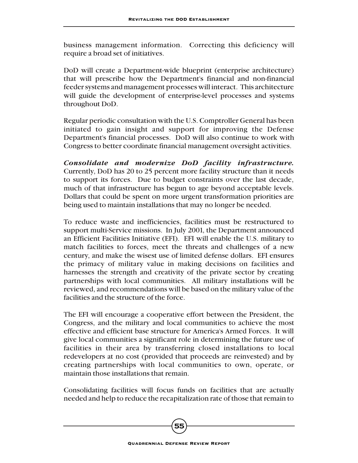business management information. Correcting this deficiency will require a broad set of initiatives.

DoD will create a Department-wide blueprint (enterprise architecture) that will prescribe how the Department's financial and non-financial feeder systems and management processes will interact. This architecture will guide the development of enterprise-level processes and systems throughout DoD.

Regular periodic consultation with the U.S. Comptroller General has been initiated to gain insight and support for improving the Defense Department's financial processes. DoD will also continue to work with Congress to better coordinate financial management oversight activities.

*Consolidate and modernize DoD facility infrastructure.* Currently, DoD has 20 to 25 percent more facility structure than it needs to support its forces. Due to budget constraints over the last decade, much of that infrastructure has begun to age beyond acceptable levels. Dollars that could be spent on more urgent transformation priorities are being used to maintain installations that may no longer be needed.

To reduce waste and inefficiencies, facilities must be restructured to support multi-Service missions. In July 2001, the Department announced an Efficient Facilities Initiative (EFI). EFI will enable the U.S. military to match facilities to forces, meet the threats and challenges of a new century, and make the wisest use of limited defense dollars. EFI ensures the primacy of military value in making decisions on facilities and harnesses the strength and creativity of the private sector by creating partnerships with local communities. All military installations will be reviewed, and recommendations will be based on the military value of the facilities and the structure of the force.

The EFI will encourage a cooperative effort between the President, the Congress, and the military and local communities to achieve the most effective and efficient base structure for America's Armed Forces. It will give local communities a significant role in determining the future use of facilities in their area by transferring closed installations to local redevelopers at no cost (provided that proceeds are reinvested) and by creating partnerships with local communities to own, operate, or maintain those installations that remain.

Consolidating facilities will focus funds on facilities that are actually needed and help to reduce the recapitalization rate of those that remain to

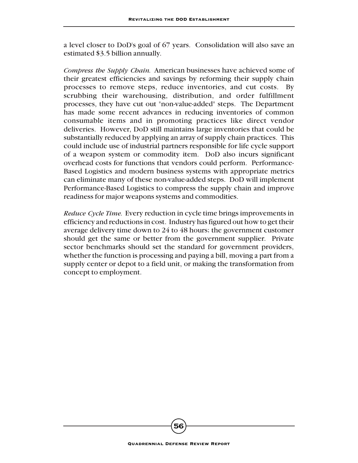a level closer to DoD's goal of 67 years. Consolidation will also save an estimated \$3.5 billion annually.

*Compress the Supply Chain.* American businesses have achieved some of their greatest efficiencies and savings by reforming their supply chain processes to remove steps, reduce inventories, and cut costs. By scrubbing their warehousing, distribution, and order fulfillment processes, they have cut out "non-value-added" steps. The Department has made some recent advances in reducing inventories of common consumable items and in promoting practices like direct vendor deliveries. However, DoD still maintains large inventories that could be substantially reduced by applying an array of supply chain practices. This could include use of industrial partners responsible for life cycle support of a weapon system or commodity item. DoD also incurs significant overhead costs for functions that vendors could perform. Performance-Based Logistics and modern business systems with appropriate metrics can eliminate many of these non-value-added steps. DoD will implement Performance-Based Logistics to compress the supply chain and improve readiness for major weapons systems and commodities.

*Reduce Cycle Time.* Every reduction in cycle time brings improvements in efficiency and reductions in cost. Industry has figured out how to get their average delivery time down to 24 to 48 hours; the government customer should get the same or better from the government supplier. Private sector benchmarks should set the standard for government providers, whether the function is processing and paying a bill, moving a part from a supply center or depot to a field unit, or making the transformation from concept to employment.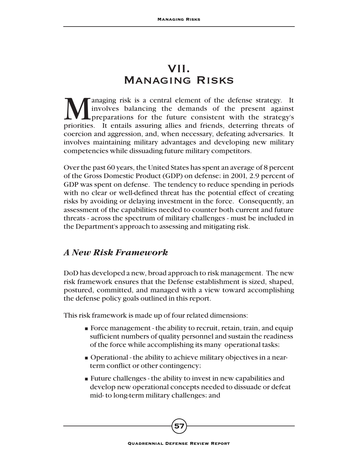# VII. Managing Risks

**Managing risk is a central element of the defense strategy.** It involves balancing the demands of the present against preparations for the future consistent with the strategy's priorities. It entails assuring allies and f involves balancing the demands of the present against **L** preparations for the future consistent with the strategy's priorities. It entails assuring allies and friends, deterring threats of coercion and aggression, and, when necessary, defeating adversaries. It involves maintaining military advantages and developing new military competencies while dissuading future military competitors.

Over the past 60 years, the United States has spent an average of 8 percent of the Gross Domestic Product (GDP) on defense; in 2001, 2.9 percent of GDP was spent on defense. The tendency to reduce spending in periods with no clear or well-defined threat has the potential effect of creating risks by avoiding or delaying investment in the force. Consequently, an assessment of the capabilities needed to counter both current and future threats - across the spectrum of military challenges - must be included in the Department's approach to assessing and mitigating risk.

### *A New Risk Framework*

DoD has developed a new, broad approach to risk management. The new risk framework ensures that the Defense establishment is sized, shaped, postured, committed, and managed with a view toward accomplishing the defense policy goals outlined in this report.

This risk framework is made up of four related dimensions:

- Force management the ability to recruit, retain, train, and equip sufficient numbers of quality personnel and sustain the readiness of the force while accomplishing its many operational tasks;
- Operational the ability to achieve military objectives in a nearterm conflict or other contingency;
- Future challenges the ability to invest in new capabilities and develop new operational concepts needed to dissuade or defeat mid- to long-term military challenges; and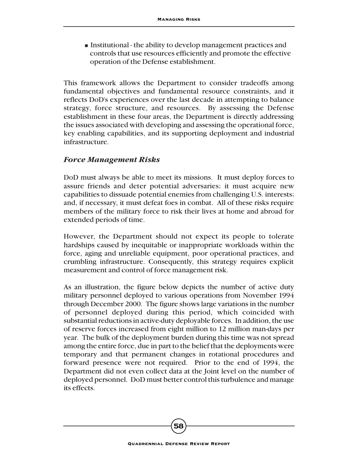■ Institutional - the ability to develop management practices and controls that use resources efficiently and promote the effective operation of the Defense establishment.

This framework allows the Department to consider tradeoffs among fundamental objectives and fundamental resource constraints, and it reflects DoD's experiences over the last decade in attempting to balance strategy, force structure, and resources. By assessing the Defense establishment in these four areas, the Department is directly addressing the issues associated with developing and assessing the operational force, key enabling capabilities, and its supporting deployment and industrial infrastructure.

#### *Force Management Risks*

DoD must always be able to meet its missions. It must deploy forces to assure friends and deter potential adversaries; it must acquire new capabilities to dissuade potential enemies from challenging U.S. interests; and, if necessary, it must defeat foes in combat. All of these risks require members of the military force to risk their lives at home and abroad for extended periods of time.

However, the Department should not expect its people to tolerate hardships caused by inequitable or inappropriate workloads within the force, aging and unreliable equipment, poor operational practices, and crumbling infrastructure. Consequently, this strategy requires explicit measurement and control of force management risk.

As an illustration, the figure below depicts the number of active duty military personnel deployed to various operations from November 1994 through December 2000. The figure shows large variations in the number of personnel deployed during this period, which coincided with substantial reductions in active-duty deployable forces. In addition, the use of reserve forces increased from eight million to 12 million man-days per year. The bulk of the deployment burden during this time was not spread among the entire force, due in part to the belief that the deployments were temporary and that permanent changes in rotational procedures and forward presence were not required. Prior to the end of 1994, the Department did not even collect data at the Joint level on the number of deployed personnel. DoD must better control this turbulence and manage its effects.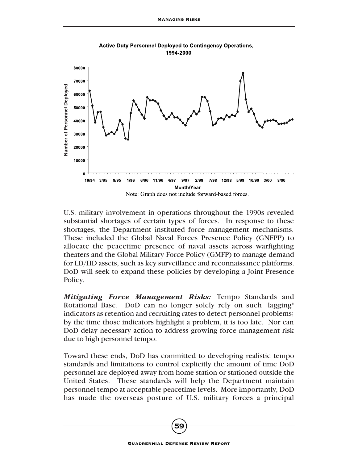

**Active Duty Personnel Deployed to Contingency Operations,** 1994-2000

U.S. military involvement in operations throughout the 1990s revealed substantial shortages of certain types of forces. In response to these shortages, the Department instituted force management mechanisms. These included the Global Naval Forces Presence Policy (GNFPP) to allocate the peacetime presence of naval assets across warfighting theaters and the Global Military Force Policy (GMFP) to manage demand for LD/HD assets, such as key surveillance and reconnaissance platforms. DoD will seek to expand these policies by developing a Joint Presence Policy.

*Mitigating Force Management Risks:* Tempo Standards and Rotational Base. DoD can no longer solely rely on such "lagging" indicators as retention and recruiting rates to detect personnel problems; by the time those indicators highlight a problem, it is too late. Nor can DoD delay necessary action to address growing force management risk due to high personnel tempo.

Toward these ends, DoD has committed to developing realistic tempo standards and limitations to control explicitly the amount of time DoD personnel are deployed away from home station or stationed outside the United States. These standards will help the Department maintain personnel tempo at acceptable peacetime levels. More importantly, DoD has made the overseas posture of U.S. military forces a principal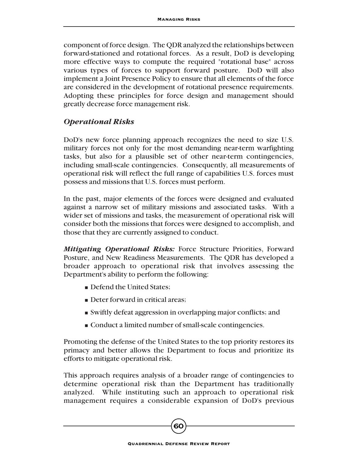component of force design. The QDR analyzed the relationships between forward-stationed and rotational forces. As a result, DoD is developing more effective ways to compute the required "rotational base" across various types of forces to support forward posture. DoD will also implement a Joint Presence Policy to ensure that all elements of the force are considered in the development of rotational presence requirements. Adopting these principles for force design and management should greatly decrease force management risk.

#### *Operational Risks*

DoD's new force planning approach recognizes the need to size U.S. military forces not only for the most demanding near-term warfighting tasks, but also for a plausible set of other near-term contingencies, including small-scale contingencies. Consequently, all measurements of operational risk will reflect the full range of capabilities U.S. forces must possess and missions that U.S. forces must perform.

In the past, major elements of the forces were designed and evaluated against a narrow set of military missions and associated tasks. With a wider set of missions and tasks, the measurement of operational risk will consider both the missions that forces were designed to accomplish, and those that they are currently assigned to conduct.

*Mitigating Operational Risks:* Force Structure Priorities, Forward Posture, and New Readiness Measurements. The QDR has developed a broader approach to operational risk that involves assessing the Department's ability to perform the following:

- Defend the United States;
- Deter forward in critical areas;
- Swiftly defeat aggression in overlapping major conflicts; and
- Conduct a limited number of small-scale contingencies.

Promoting the defense of the United States to the top priority restores its primacy and better allows the Department to focus and prioritize its efforts to mitigate operational risk.

This approach requires analysis of a broader range of contingencies to determine operational risk than the Department has traditionally analyzed. While instituting such an approach to operational risk management requires a considerable expansion of DoD's previous

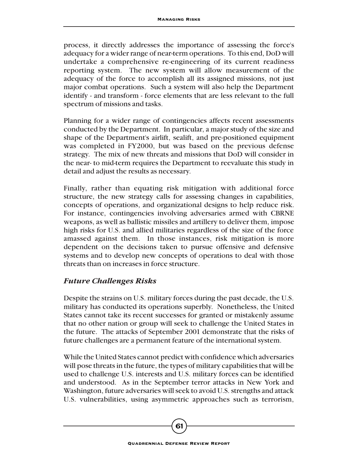process, it directly addresses the importance of assessing the force's adequacy for a wider range of near-term operations. To this end, DoD will undertake a comprehensive re-engineering of its current readiness reporting system. The new system will allow measurement of the adequacy of the force to accomplish all its assigned missions, not just major combat operations. Such a system will also help the Department identify - and transform - force elements that are less relevant to the full spectrum of missions and tasks.

Planning for a wider range of contingencies affects recent assessments conducted by the Department. In particular, a major study of the size and shape of the Department's airlift, sealift, and pre-positioned equipment was completed in FY2000, but was based on the previous defense strategy. The mix of new threats and missions that DoD will consider in the near- to mid-term requires the Department to reevaluate this study in detail and adjust the results as necessary.

Finally, rather than equating risk mitigation with additional force structure, the new strategy calls for assessing changes in capabilities, concepts of operations, and organizational designs to help reduce risk. For instance, contingencies involving adversaries armed with CBRNE weapons, as well as ballistic missiles and artillery to deliver them, impose high risks for U.S. and allied militaries regardless of the size of the force amassed against them. In those instances, risk mitigation is more dependent on the decisions taken to pursue offensive and defensive systems and to develop new concepts of operations to deal with those threats than on increases in force structure.

#### *Future Challenges Risks*

Despite the strains on U.S. military forces during the past decade, the U.S. military has conducted its operations superbly. Nonetheless, the United States cannot take its recent successes for granted or mistakenly assume that no other nation or group will seek to challenge the United States in the future. The attacks of September 2001 demonstrate that the risks of future challenges are a permanent feature of the international system.

While the United States cannot predict with confidence which adversaries will pose threats in the future, the types of military capabilities that will be used to challenge U.S. interests and U.S. military forces can be identified and understood. As in the September terror attacks in New York and Washington, future adversaries will seek to avoid U.S. strengths and attack U.S. vulnerabilities, using asymmetric approaches such as terrorism,

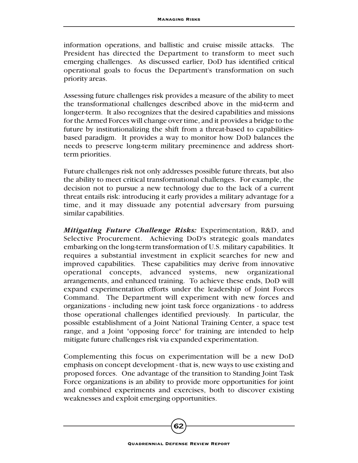information operations, and ballistic and cruise missile attacks. The President has directed the Department to transform to meet such emerging challenges. As discussed earlier, DoD has identified critical operational goals to focus the Department's transformation on such priority areas.

Assessing future challenges risk provides a measure of the ability to meet the transformational challenges described above in the mid-term and longer-term. It also recognizes that the desired capabilities and missions for the Armed Forces will change over time, and it provides a bridge to the future by institutionalizing the shift from a threat-based to capabilitiesbased paradigm. It provides a way to monitor how DoD balances the needs to preserve long-term military preeminence and address shortterm priorities.

Future challenges risk not only addresses possible future threats, but also the ability to meet critical transformational challenges. For example, the decision not to pursue a new technology due to the lack of a current threat entails risk: introducing it early provides a military advantage for a time, and it may dissuade any potential adversary from pursuing similar capabilities.

*Mitigating Future Challenge Risks:* Experimentation, R&D, and Selective Procurement. Achieving DoD's strategic goals mandates embarking on the long-term transformation of U.S. military capabilities. It requires a substantial investment in explicit searches for new and improved capabilities. These capabilities may derive from innovative operational concepts, advanced systems, new organizational arrangements, and enhanced training. To achieve these ends, DoD will expand experimentation efforts under the leadership of Joint Forces Command. The Department will experiment with new forces and organizations - including new joint task force organizations - to address those operational challenges identified previously. In particular, the possible establishment of a Joint National Training Center, a space test range, and a Joint "opposing force" for training are intended to help mitigate future challenges risk via expanded experimentation.

Complementing this focus on experimentation will be a new DoD emphasis on concept development - that is, new ways to use existing and proposed forces. One advantage of the transition to Standing Joint Task Force organizations is an ability to provide more opportunities for joint and combined experiments and exercises, both to discover existing weaknesses and exploit emerging opportunities.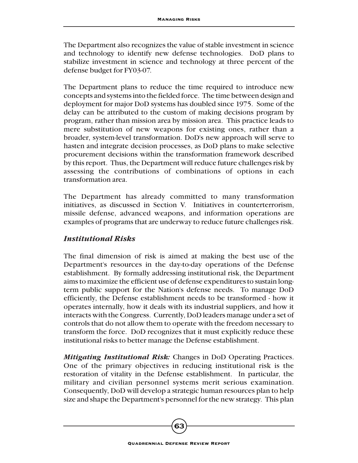The Department also recognizes the value of stable investment in science and technology to identify new defense technologies. DoD plans to stabilize investment in science and technology at three percent of the defense budget for FY03-07.

The Department plans to reduce the time required to introduce new concepts and systems into the fielded force. The time between design and deployment for major DoD systems has doubled since 1975. Some of the delay can be attributed to the custom of making decisions program by program, rather than mission area by mission area. This practice leads to mere substitution of new weapons for existing ones, rather than a broader, system-level transformation. DoD's new approach will serve to hasten and integrate decision processes, as DoD plans to make selective procurement decisions within the transformation framework described by this report. Thus, the Department will reduce future challenges risk by assessing the contributions of combinations of options in each transformation area.

The Department has already committed to many transformation initiatives, as discussed in Section V. Initiatives in counterterrorism, missile defense, advanced weapons, and information operations are examples of programs that are underway to reduce future challenges risk.

#### *Institutional Risks*

The final dimension of risk is aimed at making the best use of the Department's resources in the day-to-day operations of the Defense establishment. By formally addressing institutional risk, the Department aims to maximize the efficient use of defense expenditures to sustain longterm public support for the Nation's defense needs. To manage DoD efficiently, the Defense establishment needs to be transformed - how it operates internally, how it deals with its industrial suppliers, and how it interacts with the Congress. Currently, DoD leaders manage under a set of controls that do not allow them to operate with the freedom necessary to transform the force. DoD recognizes that it must explicitly reduce these institutional risks to better manage the Defense establishment.

*Mitigating Institutional Risk:* Changes in DoD Operating Practices. One of the primary objectives in reducing institutional risk is the restoration of vitality in the Defense establishment. In particular, the military and civilian personnel systems merit serious examination. Consequently, DoD will develop a strategic human resources plan to help size and shape the Department's personnel for the new strategy. This plan

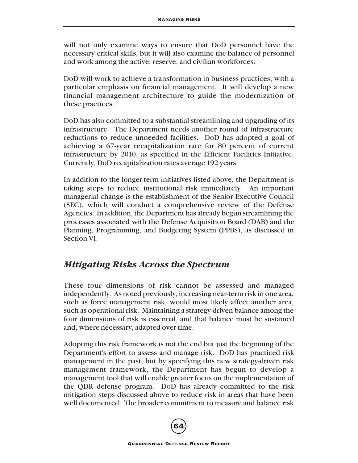will not only examine ways to ensure that DoD personnel have the necessary critical skills, but it will also examine the balance of personnel and work among the active, reserve, and civilian workforces.

DoD will work to achieve a transformation in business practices, with a particular emphasis on financial management. It will develop a new financial management architecture to guide the modernization of these practices.

DoD has also committed to a substantial streamlining and upgrading of its infrastructure. The Department needs another round of infrastructure reductions to reduce unneeded facilities. DoD has adopted a goal of achieving a 67-year recapitalization rate for 80 percent of current infrastructure by 2010, as specified in the Efficient Facilities Initiative. Currently, DoD recapitalization rates average 192 years.

In addition to the longer-term initiatives listed above, the Department is taking steps to reduce institutional risk immediately. An important managerial change is the establishment of the Senior Executive Council (SEC), which will conduct a comprehensive review of the Defense Agencies. In addition, the Department has already begun streamlining the processes associated with the Defense Acquisition Board (DAB) and the Planning, Programming, and Budgeting System (PPBS), as discussed in Section VI.

### *Mitigating Risks Across the Spectrum*

These four dimensions of risk cannot be assessed and managed independently. As noted previously, increasing near-term risk in one area, such as force management risk, would most likely affect another area, such as operational risk. Maintaining a strategy-driven balance among the four dimensions of risk is essential, and that balance must be sustained and, where necessary, adapted over time.

Adopting this risk framework is not the end but just the beginning of the Department's effort to assess and manage risk. DoD has practiced risk management in the past, but by specifying this new strategy-driven risk management framework, the Department has begun to develop a management tool that will enable greater focus on the implementation of the QDR defense program. DoD has already committed to the risk mitigation steps discussed above to reduce risk in areas that have been well documented. The broader commitment to measure and balance risk

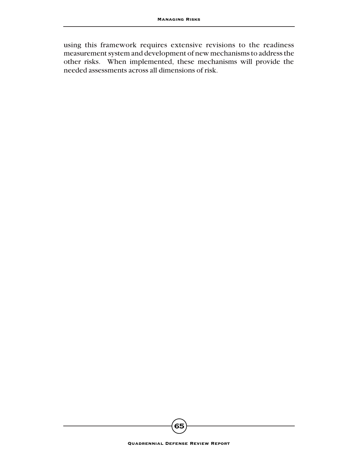using this framework requires extensive revisions to the readiness measurement system and development of new mechanisms to address the other risks. When implemented, these mechanisms will provide the needed assessments across all dimensions of risk.

**65**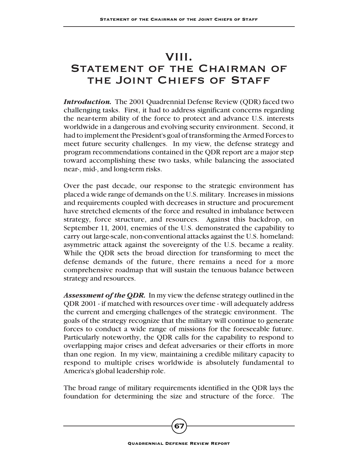## VIII.

## STATEMENT OF THE CHAIRMAN OF THE JOINT CHIEFS OF STAFF

*Introduction.* The 2001 Quadrennial Defense Review (QDR) faced two challenging tasks. First, it had to address significant concerns regarding the near-term ability of the force to protect and advance U.S. interests worldwide in a dangerous and evolving security environment. Second, it had to implement the President's goal of transforming the Armed Forces to meet future security challenges. In my view, the defense strategy and program recommendations contained in the QDR report are a major step toward accomplishing these two tasks, while balancing the associated near-, mid-, and long-term risks.

Over the past decade, our response to the strategic environment has placed a wide range of demands on the U.S. military. Increases in missions and requirements coupled with decreases in structure and procurement have stretched elements of the force and resulted in imbalance between strategy, force structure, and resources. Against this backdrop, on September 11, 2001, enemies of the U.S. demonstrated the capability to carry out large-scale, non-conventional attacks against the U.S. homeland; asymmetric attack against the sovereignty of the U.S. became a reality. While the QDR sets the broad direction for transforming to meet the defense demands of the future, there remains a need for a more comprehensive roadmap that will sustain the tenuous balance between strategy and resources.

*Assessment of the QDR.* In my view the defense strategy outlined in the QDR 2001 - if matched with resources over time - will adequately address the current and emerging challenges of the strategic environment. The goals of the strategy recognize that the military will continue to generate forces to conduct a wide range of missions for the foreseeable future. Particularly noteworthy, the QDR calls for the capability to respond to overlapping major crises and defeat adversaries or their efforts in more than one region. In my view, maintaining a credible military capacity to respond to multiple crises worldwide is absolutely fundamental to America's global leadership role.

The broad range of military requirements identified in the QDR lays the foundation for determining the size and structure of the force. The

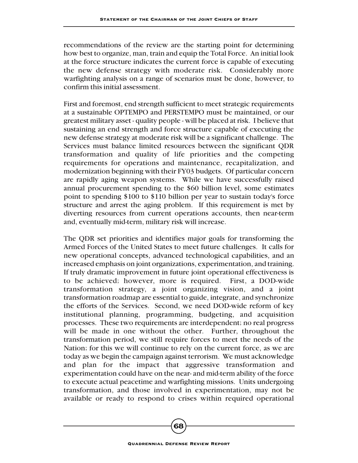recommendations of the review are the starting point for determining how best to organize, man, train and equip the Total Force. An initial look at the force structure indicates the current force is capable of executing the new defense strategy with moderate risk. Considerably more warfighting analysis on a range of scenarios must be done, however, to confirm this initial assessment.

First and foremost, end strength sufficient to meet strategic requirements at a sustainable OPTEMPO and PERSTEMPO must be maintained, or our greatest military asset - quality people - will be placed at risk. I believe that sustaining an end strength and force structure capable of executing the new defense strategy at moderate risk will be a significant challenge. The Services must balance limited resources between the significant QDR transformation and quality of life priorities and the competing requirements for operations and maintenance, recapitalization, and modernization beginning with their FY03 budgets. Of particular concern are rapidly aging weapon systems. While we have successfully raised annual procurement spending to the \$60 billion level, some estimates point to spending \$100 to \$110 billion per year to sustain today's force structure and arrest the aging problem. If this requirement is met by diverting resources from current operations accounts, then near-term and, eventually mid-term, military risk will increase.

The QDR set priorities and identifies major goals for transforming the Armed Forces of the United States to meet future challenges. It calls for new operational concepts, advanced technological capabilities, and an increased emphasis on joint organizations, experimentation, and training. If truly dramatic improvement in future joint operational effectiveness is to be achieved; however, more is required. First, a DOD-wide transformation strategy, a joint organizing vision, and a joint transformation roadmap are essential to guide, integrate, and synchronize the efforts of the Services. Second, we need DOD-wide reform of key institutional planning, programming, budgeting, and acquisition processes. These two requirements are interdependent; no real progress will be made in one without the other. Further, throughout the transformation period, we still require forces to meet the needs of the Nation; for this we will continue to rely on the current force, as we are today as we begin the campaign against terrorism. We must acknowledge and plan for the impact that aggressive transformation and experimentation could have on the near- and mid-term ability of the force to execute actual peacetime and warfighting missions. Units undergoing transformation, and those involved in experimentation, may not be available or ready to respond to crises within required operational

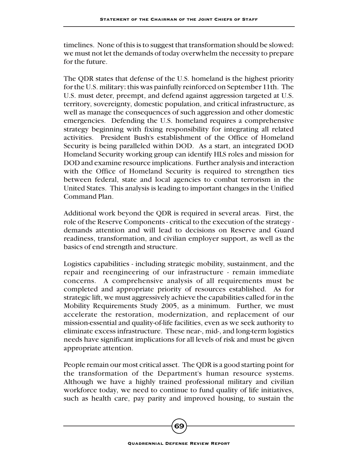timelines. None of this is to suggest that transformation should be slowed; we must not let the demands of today overwhelm the necessity to prepare for the future.

The QDR states that defense of the U.S. homeland is the highest priority for the U.S. military; this was painfully reinforced on September 11th. The U.S. must deter, preempt, and defend against aggression targeted at U.S. territory, sovereignty, domestic population, and critical infrastructure, as well as manage the consequences of such aggression and other domestic emergencies. Defending the U.S. homeland requires a comprehensive strategy beginning with fixing responsibility for integrating all related activities. President Bush's establishment of the Office of Homeland Security is being paralleled within DOD. As a start, an integrated DOD Homeland Security working group can identify HLS roles and mission for DOD and examine resource implications. Further analysis and interaction with the Office of Homeland Security is required to strengthen ties between federal, state and local agencies to combat terrorism in the United States. This analysis is leading to important changes in the Unified Command Plan.

Additional work beyond the QDR is required in several areas. First, the role of the Reserve Components - critical to the execution of the strategy demands attention and will lead to decisions on Reserve and Guard readiness, transformation, and civilian employer support, as well as the basics of end strength and structure.

Logistics capabilities - including strategic mobility, sustainment, and the repair and reengineering of our infrastructure - remain immediate concerns. A comprehensive analysis of all requirements must be completed and appropriate priority of resources established. As for strategic lift, we must aggressively achieve the capabilities called for in the Mobility Requirements Study 2005, as a minimum. Further, we must accelerate the restoration, modernization, and replacement of our mission-essential and quality-of-life facilities, even as we seek authority to eliminate excess infrastructure. These near-, mid-, and long-term logistics needs have significant implications for all levels of risk and must be given appropriate attention.

People remain our most critical asset. The QDR is a good starting point for the transformation of the Department's human resource systems. Although we have a highly trained professional military and civilian workforce today, we need to continue to fund quality of life initiatives, such as health care, pay parity and improved housing, to sustain the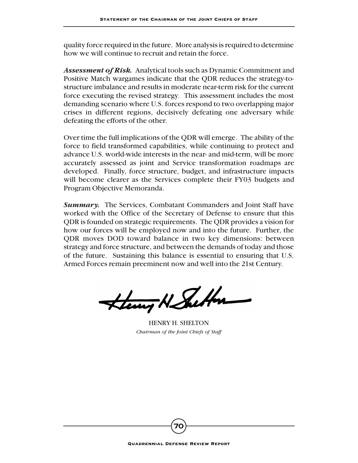quality force required in the future. More analysis is required to determine how we will continue to recruit and retain the force.

*Assessment of Risk.* Analytical tools such as Dynamic Commitment and Positive Match wargames indicate that the QDR reduces the strategy-tostructure imbalance and results in moderate near-term risk for the current force executing the revised strategy. This assessment includes the most demanding scenario where U.S. forces respond to two overlapping major crises in different regions, decisively defeating one adversary while defeating the efforts of the other.

Over time the full implications of the QDR will emerge. The ability of the force to field transformed capabilities, while continuing to protect and advance U.S. world-wide interests in the near- and mid-term, will be more accurately assessed as joint and Service transformation roadmaps are developed. Finally, force structure, budget, and infrastructure impacts will become clearer as the Services complete their FY03 budgets and Program Objective Memoranda.

*Summary.* The Services, Combatant Commanders and Joint Staff have worked with the Office of the Secretary of Defense to ensure that this QDR is founded on strategic requirements. The QDR provides a vision for how our forces will be employed now and into the future. Further, the QDR moves DOD toward balance in two key dimensions: between strategy and force structure, and between the demands of today and those of the future. Sustaining this balance is essential to ensuring that U.S. Armed Forces remain preeminent now and well into the 21st Century.

Henry N. Sutton

HENRY H. SHELTON *Chairman of the Joint Chiefs of Staff*

**70**